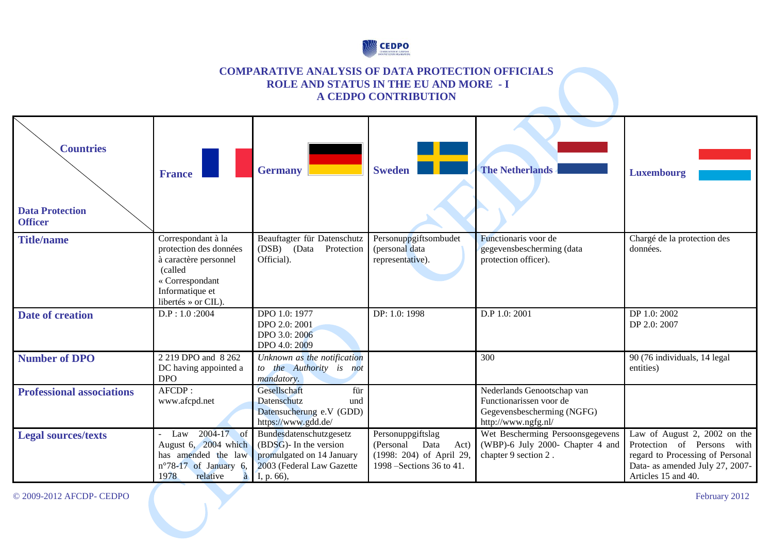

### **COMPARATIVE ANALYSIS OF DATA PROTECTION OFFICIALS ROLE AND STATUS IN THE EU AND MORE - I A CEDPO CONTRIBUTION**

| <b>Countries</b><br><b>Data Protection</b><br><b>Officer</b> | <b>France</b>                                                                                                                                 | <b>Germany</b>                                                                                                               | <b>Sweden</b>                                                                                           | <b>The Netherlands</b>                                                                                     | Luxembourg                                                                                                                                               |
|--------------------------------------------------------------|-----------------------------------------------------------------------------------------------------------------------------------------------|------------------------------------------------------------------------------------------------------------------------------|---------------------------------------------------------------------------------------------------------|------------------------------------------------------------------------------------------------------------|----------------------------------------------------------------------------------------------------------------------------------------------------------|
| <b>Title/name</b>                                            | Correspondant à la<br>protection des données<br>à caractère personnel<br>(called<br>« Correspondant<br>Informatique et<br>libertés » or CIL). | Beauftagter für Datenschutz<br>(DSB) (Data Protection<br>Official).                                                          | Personuppgiftsombudet<br>(personal data<br>representative).                                             | Functionaris voor de<br>gegevensbescherming (data<br>protection officer).                                  | Chargé de la protection des<br>données.                                                                                                                  |
| Date of creation                                             | $D.P$ : 1.0:2004                                                                                                                              | DPO 1.0: 1977<br>DPO 2.0: 2001<br>DPO 3.0: 2006<br>DPO 4.0: 2009                                                             | DP: 1.0: 1998                                                                                           | D.P 1.0: 2001                                                                                              | DP 1.0: 2002<br>DP 2.0: 2007                                                                                                                             |
| <b>Number of DPO</b>                                         | 2 219 DPO and 8 262<br>DC having appointed a<br><b>DPO</b>                                                                                    | Unknown as the notification<br>to the Authority is not<br>mandatory.                                                         |                                                                                                         | 300                                                                                                        | 90 (76 individuals, 14 legal<br>entities)                                                                                                                |
| <b>Professional associations</b>                             | AFCDP:<br>www.afcpd.net                                                                                                                       | Gesellschaft<br>für<br>Datenschutz<br>und<br>Datensucherung e.V (GDD)<br>https://www.gdd.de/                                 |                                                                                                         | Nederlands Genootschap van<br>Functionarissen voor de<br>Gegevensbescherming (NGFG)<br>http://www.ngfg.nl/ |                                                                                                                                                          |
| <b>Legal sources/texts</b>                                   | 2004-17 of<br>Law<br>August 6, 2004 which<br>has amended the law<br>n°78-17 of January 6,<br>1978<br>relative<br>à                            | Bundesdatenschutzgesetz<br>$(BDSG)$ - In the version<br>promulgated on 14 January<br>2003 (Federal Law Gazette<br>I, p. 66), | Personuppgiftslag<br>(Personal<br>Data<br>Act)<br>(1998: 204) of April 29,<br>1998 – Sections 36 to 41. | Wet Bescherming Persoonsgegevens<br>(WBP)-6 July 2000- Chapter 4 and<br>chapter 9 section 2.               | Law of August 2, 2002 on the<br>Protection of Persons with<br>regard to Processing of Personal<br>Data- as amended July 27, 2007-<br>Articles 15 and 40. |

© 2009-2012 AFCDP- CEDPO February 2012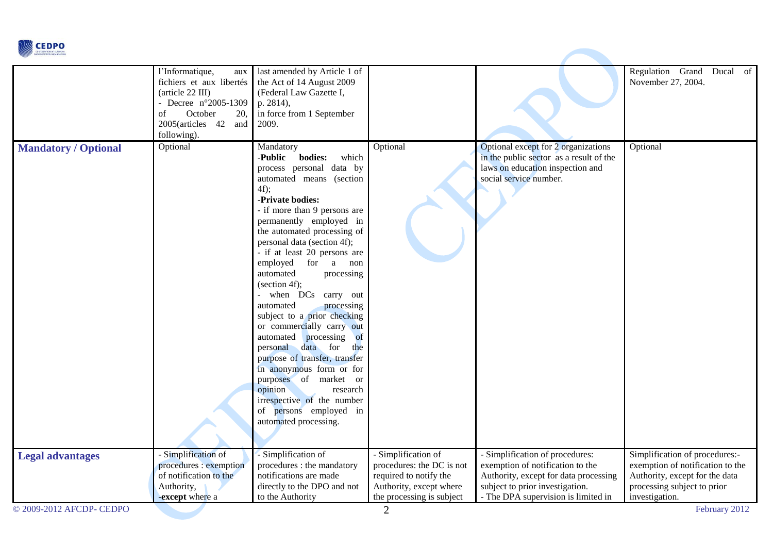

|                             | l'Informatique,<br>aux<br>fichiers et aux libertés<br>(article 22 III)<br>- Decree n°2005-1309<br>October<br>20,<br>οf<br>2005(articles 42<br>and<br>following). | last amended by Article 1 of<br>the Act of 14 August 2009<br>(Federal Law Gazette I,<br>p. 2814),<br>in force from 1 September<br>2009.                                                                                                                                                                                                                                                                                                                                                                                                                                                                                                                                                                                        |                                                                                                                                    |                                                                                                                                                                                        | Regulation Grand Ducal of<br>November 27, 2004.                                                                                                       |
|-----------------------------|------------------------------------------------------------------------------------------------------------------------------------------------------------------|--------------------------------------------------------------------------------------------------------------------------------------------------------------------------------------------------------------------------------------------------------------------------------------------------------------------------------------------------------------------------------------------------------------------------------------------------------------------------------------------------------------------------------------------------------------------------------------------------------------------------------------------------------------------------------------------------------------------------------|------------------------------------------------------------------------------------------------------------------------------------|----------------------------------------------------------------------------------------------------------------------------------------------------------------------------------------|-------------------------------------------------------------------------------------------------------------------------------------------------------|
| <b>Mandatory / Optional</b> | Optional                                                                                                                                                         | Mandatory<br>-Public<br>bodies:<br>which<br>process personal data by<br>automated means (section<br>$4f$ );<br>-Private bodies:<br>- if more than 9 persons are<br>permanently employed in<br>the automated processing of<br>personal data (section 4f);<br>- if at least 20 persons are<br>employed for a non<br>automated<br>processing<br>(section 4f);<br>- when DCs carry out<br>processing<br>automated<br>subject to a prior checking<br>or commercially carry out<br>automated processing of<br>personal data for<br>the<br>purpose of transfer, transfer<br>in anonymous form or for<br>purposes of market or<br>opinion<br>research<br>irrespective of the number<br>of persons employed in<br>automated processing. | Optional                                                                                                                           | Optional except for 2 organizations<br>in the public sector as a result of the<br>laws on education inspection and<br>social service number.                                           | Optional                                                                                                                                              |
| <b>Legal advantages</b>     | - Simplification of<br>procedures : exemption<br>of notification to the<br>Authority,<br>-except where a                                                         | - Simplification of<br>procedures : the mandatory<br>notifications are made<br>directly to the DPO and not<br>to the Authority                                                                                                                                                                                                                                                                                                                                                                                                                                                                                                                                                                                                 | - Simplification of<br>procedures: the DC is not<br>required to notify the<br>Authority, except where<br>the processing is subject | - Simplification of procedures:<br>exemption of notification to the<br>Authority, except for data processing<br>subject to prior investigation.<br>- The DPA supervision is limited in | Simplification of procedures:-<br>exemption of notification to the<br>Authority, except for the data<br>processing subject to prior<br>investigation. |
| © 2009-2012 AFCDP- CEDPO    |                                                                                                                                                                  |                                                                                                                                                                                                                                                                                                                                                                                                                                                                                                                                                                                                                                                                                                                                | $\overline{2}$                                                                                                                     |                                                                                                                                                                                        | February 2012                                                                                                                                         |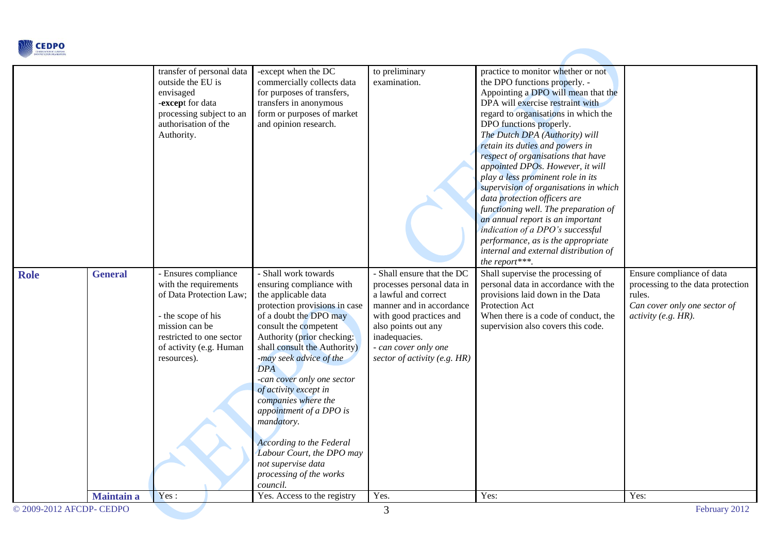

|                          |                   | transfer of personal data<br>outside the EU is<br>envisaged<br>-except for data<br>processing subject to an<br>authorisation of the<br>Authority.                                      | -except when the DC<br>commercially collects data<br>for purposes of transfers,<br>transfers in anonymous<br>form or purposes of market<br>and opinion research.                                                                                                                                                                                                                                                                                                                                                       | to preliminary<br>examination.                                                                                                                                                                                                             | practice to monitor whether or not<br>the DPO functions properly. -<br>Appointing a DPO will mean that the<br>DPA will exercise restraint with<br>regard to organisations in which the<br>DPO functions properly.<br>The Dutch DPA (Authority) will<br>retain its duties and powers in<br>respect of organisations that have<br>appointed DPOs. However, it will<br>play a less prominent role in its<br>supervision of organisations in which<br>data protection officers are<br>functioning well. The preparation of<br>an annual report is an important<br>indication of a DPO's successful<br>performance, as is the appropriate<br>internal and external distribution of<br>the report***. |                                                                                                                                 |
|--------------------------|-------------------|----------------------------------------------------------------------------------------------------------------------------------------------------------------------------------------|------------------------------------------------------------------------------------------------------------------------------------------------------------------------------------------------------------------------------------------------------------------------------------------------------------------------------------------------------------------------------------------------------------------------------------------------------------------------------------------------------------------------|--------------------------------------------------------------------------------------------------------------------------------------------------------------------------------------------------------------------------------------------|-------------------------------------------------------------------------------------------------------------------------------------------------------------------------------------------------------------------------------------------------------------------------------------------------------------------------------------------------------------------------------------------------------------------------------------------------------------------------------------------------------------------------------------------------------------------------------------------------------------------------------------------------------------------------------------------------|---------------------------------------------------------------------------------------------------------------------------------|
| <b>Role</b>              | <b>General</b>    | - Ensures compliance<br>with the requirements<br>of Data Protection Law;<br>- the scope of his<br>mission can be<br>restricted to one sector<br>of activity (e.g. Human<br>resources). | - Shall work towards<br>ensuring compliance with<br>the applicable data<br>protection provisions in case<br>of a doubt the DPO may<br>consult the competent<br>Authority (prior checking:<br>shall consult the Authority)<br>-may seek advice of the<br><b>DPA</b><br>-can cover only one sector<br>of activity except in<br>companies where the<br>appointment of a DPO is<br>mandatory.<br><b>According to the Federal</b><br>Labour Court, the DPO may<br>not supervise data<br>processing of the works<br>council. | - Shall ensure that the DC<br>processes personal data in<br>a lawful and correct<br>manner and in accordance<br>with good practices and<br>also points out any<br>inadequacies.<br>- can cover only one<br>sector of activity (e.g. $HR$ ) | Shall supervise the processing of<br>personal data in accordance with the<br>provisions laid down in the Data<br>Protection Act<br>When there is a code of conduct, the<br>supervision also covers this code.                                                                                                                                                                                                                                                                                                                                                                                                                                                                                   | Ensure compliance of data<br>processing to the data protection<br>rules.<br>Can cover only one sector of<br>activity (e.g. HR). |
|                          | <b>Maintain a</b> | Yes:                                                                                                                                                                                   | Yes. Access to the registry                                                                                                                                                                                                                                                                                                                                                                                                                                                                                            | Yes.                                                                                                                                                                                                                                       | Yes:                                                                                                                                                                                                                                                                                                                                                                                                                                                                                                                                                                                                                                                                                            | Yes:                                                                                                                            |
| © 2009-2012 AFCDP- CEDPO |                   |                                                                                                                                                                                        |                                                                                                                                                                                                                                                                                                                                                                                                                                                                                                                        | 3                                                                                                                                                                                                                                          |                                                                                                                                                                                                                                                                                                                                                                                                                                                                                                                                                                                                                                                                                                 | February 2012                                                                                                                   |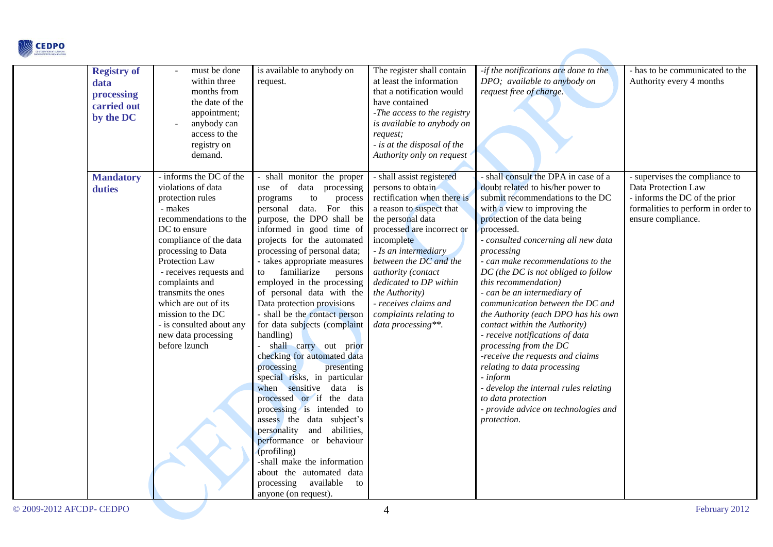| <b><i>&amp;</i></b> CEDPO<br><b>PROTECTION OR</b> |
|---------------------------------------------------|
|                                                   |

| <b>Registry of</b><br>data<br>processing<br>carried out<br>by the DC | must be done<br>within three<br>months from<br>the date of the<br>appointment;<br>anybody can<br>access to the<br>registry on<br>demand.                                                                                                                                                                                                                                     | is available to anybody on<br>request.                                                                                                                                                                                                                                                                                                                                                                                                                                                                                                                                                                                                                                                                                                                                                                                                                                                                              | The register shall contain<br>at least the information<br>that a notification would<br>have contained<br>-The access to the registry<br>is available to anybody on<br>request;<br>- is at the disposal of the<br>Authority only on request                                                                                                                              | -if the notifications are done to the<br>DPO; available to anybody on<br>request free of charge.                                                                                                                                                                                                                                                                                                                                                                                                                                                                                                                                                                                                                                                                  | - has to be communicated to the<br>Authority every 4 months                                                                                        |
|----------------------------------------------------------------------|------------------------------------------------------------------------------------------------------------------------------------------------------------------------------------------------------------------------------------------------------------------------------------------------------------------------------------------------------------------------------|---------------------------------------------------------------------------------------------------------------------------------------------------------------------------------------------------------------------------------------------------------------------------------------------------------------------------------------------------------------------------------------------------------------------------------------------------------------------------------------------------------------------------------------------------------------------------------------------------------------------------------------------------------------------------------------------------------------------------------------------------------------------------------------------------------------------------------------------------------------------------------------------------------------------|-------------------------------------------------------------------------------------------------------------------------------------------------------------------------------------------------------------------------------------------------------------------------------------------------------------------------------------------------------------------------|-------------------------------------------------------------------------------------------------------------------------------------------------------------------------------------------------------------------------------------------------------------------------------------------------------------------------------------------------------------------------------------------------------------------------------------------------------------------------------------------------------------------------------------------------------------------------------------------------------------------------------------------------------------------------------------------------------------------------------------------------------------------|----------------------------------------------------------------------------------------------------------------------------------------------------|
| <b>Mandatory</b><br>duties                                           | - informs the DC of the<br>violations of data<br>protection rules<br>- makes<br>recommendations to the<br>DC to ensure<br>compliance of the data<br>processing to Data<br>Protection Law<br>- receives requests and<br>complaints and<br>transmits the ones<br>which are out of its<br>mission to the DC<br>- is consulted about any<br>new data processing<br>before lzunch | - shall monitor the proper<br>use of<br>data processing<br>programs<br>to<br>process<br>personal data. For this<br>purpose, the DPO shall be<br>informed in good time of<br>projects for the automated<br>processing of personal data;<br>- takes appropriate measures<br>familiarize<br>persons<br>to<br>employed in the processing<br>of personal data with the<br>Data protection provisions<br>- shall be the contact person<br>for data subjects (complaint<br>handling)<br>- shall carry out prior<br>checking for automated data<br>processing<br>presenting<br>special risks, in particular<br>when sensitive data is<br>processed or if the data<br>processing is intended to<br>assess the data subject's<br>personality and<br>abilities,<br>performance or behaviour<br>(profiling)<br>-shall make the information<br>about the automated data<br>processing<br>available<br>to<br>anyone (on request). | - shall assist registered<br>persons to obtain<br>rectification when there is<br>a reason to suspect that<br>the personal data<br>processed are incorrect or<br>incomplete<br>- Is an intermediary<br>between the DC and the<br>authority (contact<br>dedicated to DP within<br>the Authority)<br>- receives claims and<br>complaints relating to<br>data processing**. | - shall consult the DPA in case of a<br>doubt related to his/her power to<br>submit recommendations to the DC<br>with a view to improving the<br>protection of the data being<br>processed.<br>- consulted concerning all new data<br>processing<br>- can make recommendations to the<br>DC (the DC is not obliged to follow<br>this recommendation)<br>- can be an intermediary of<br>communication between the DC and<br>the Authority (each DPO has his own<br>contact within the Authority)<br>- receive notifications of data<br>processing from the DC<br>-receive the requests and claims<br>relating to data processing<br>- inform<br>- develop the internal rules relating<br>to data protection<br>- provide advice on technologies and<br>protection. | - supervises the compliance to<br>Data Protection Law<br>- informs the DC of the prior<br>formalities to perform in order to<br>ensure compliance. |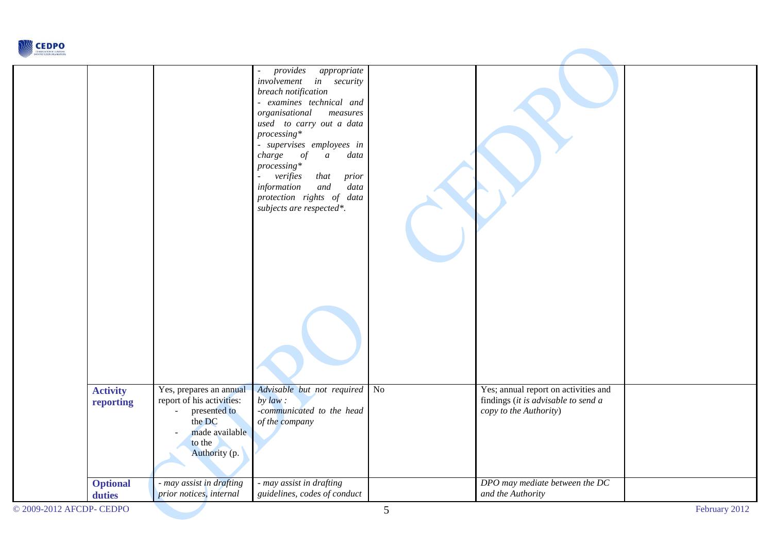

|                              |                                                                                                                                                 | provides<br>appropriate<br>÷,<br>involvement in security<br>breach notification<br>- examines technical and<br>organisational<br>measures<br>used to carry out a data<br>$processing*$<br>- supervises employees in<br>charge of<br>data<br>$\mathfrak{a}$<br>$processing*$<br>verifies<br>that<br>prior<br>$\overline{\phantom{a}}$<br>and<br>data<br>information<br>protection rights of data<br>subjects are respected*. |    |                                                                                                       |  |
|------------------------------|-------------------------------------------------------------------------------------------------------------------------------------------------|-----------------------------------------------------------------------------------------------------------------------------------------------------------------------------------------------------------------------------------------------------------------------------------------------------------------------------------------------------------------------------------------------------------------------------|----|-------------------------------------------------------------------------------------------------------|--|
| <b>Activity</b><br>reporting | Yes, prepares an annual<br>report of his activities:<br>presented to<br>$\sim$<br>the DC<br>made available<br>$\sim$<br>to the<br>Authority (p. | Advisable but not required<br>by $law:$<br>-communicated to the head<br>of the company                                                                                                                                                                                                                                                                                                                                      | No | Yes; annual report on activities and<br>findings (it is advisable to send a<br>copy to the Authority) |  |
| <b>Optional</b><br>duties    | - may assist in drafting<br>prior notices, internal                                                                                             | - may assist in drafting<br>guidelines, codes of conduct                                                                                                                                                                                                                                                                                                                                                                    |    | DPO may mediate between the DC<br>and the Authority                                                   |  |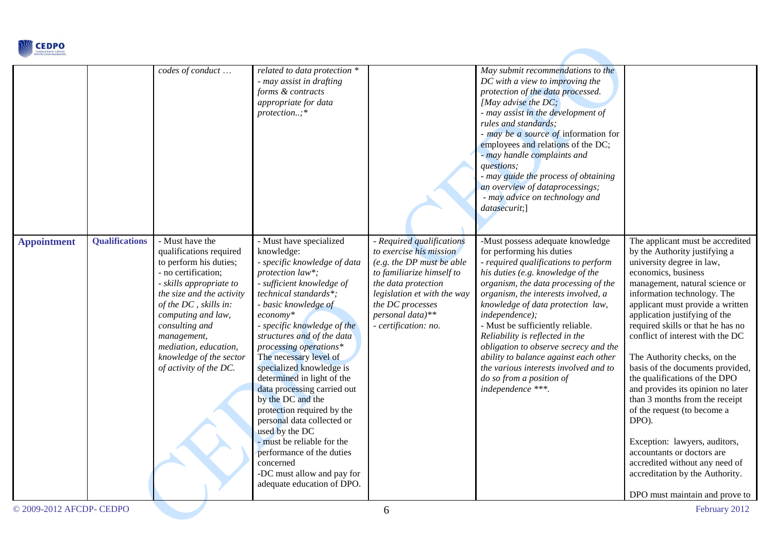

|                    |                       | codes of conduct                                                                                                                                                                                                                                                                                                  | related to data protection *<br>- may assist in drafting<br>forms & contracts<br>appropriate for data<br>protection;*                                                                                                                                                                                                                                                                                                                                                                                                                                                                                                                            |                                                                                                                                                                                                                                      | May submit recommendations to the<br>DC with a view to improving the<br>protection of the data processed.<br>[May advise the $DC$ ;<br>- may assist in the development of<br>rules and standards;<br>- may be a source of information for<br>employees and relations of the DC;<br>- may handle complaints and<br>questions;<br>- may guide the process of obtaining<br>an overview of dataprocessings;<br>- may advice on technology and<br>datasecurit;]                                                                          |                                                                                                                                                                                                                                                                                                                                                                                                                                                                                                                                                                                                                                                                                                                                |
|--------------------|-----------------------|-------------------------------------------------------------------------------------------------------------------------------------------------------------------------------------------------------------------------------------------------------------------------------------------------------------------|--------------------------------------------------------------------------------------------------------------------------------------------------------------------------------------------------------------------------------------------------------------------------------------------------------------------------------------------------------------------------------------------------------------------------------------------------------------------------------------------------------------------------------------------------------------------------------------------------------------------------------------------------|--------------------------------------------------------------------------------------------------------------------------------------------------------------------------------------------------------------------------------------|-------------------------------------------------------------------------------------------------------------------------------------------------------------------------------------------------------------------------------------------------------------------------------------------------------------------------------------------------------------------------------------------------------------------------------------------------------------------------------------------------------------------------------------|--------------------------------------------------------------------------------------------------------------------------------------------------------------------------------------------------------------------------------------------------------------------------------------------------------------------------------------------------------------------------------------------------------------------------------------------------------------------------------------------------------------------------------------------------------------------------------------------------------------------------------------------------------------------------------------------------------------------------------|
| <b>Appointment</b> | <b>Qualifications</b> | - Must have the<br>qualifications required<br>to perform his duties;<br>- no certification;<br>- skills appropriate to<br>the size and the activity<br>of the DC, skills in:<br>computing and law,<br>consulting and<br>management,<br>mediation, education,<br>knowledge of the sector<br>of activity of the DC. | - Must have specialized<br>knowledge:<br>- specific knowledge of data<br>protection law*;<br>- sufficient knowledge of<br>technical standards*;<br>- basic knowledge of<br>$e_{\text{conomy}}*$<br>- specific knowledge of the<br>structures and of the data<br>processing operations*<br>The necessary level of<br>specialized knowledge is<br>determined in light of the<br>data processing carried out<br>by the DC and the<br>protection required by the<br>personal data collected or<br>used by the DC<br>- must be reliable for the<br>performance of the duties<br>concerned<br>-DC must allow and pay for<br>adequate education of DPO. | - Required qualifications<br>to exercise his mission<br>(e.g. the DP must be able<br>to familiarize himself to<br>the data protection<br>legislation et with the way<br>the DC processes<br>personal data)**<br>- certification: no. | -Must possess adequate knowledge<br>for performing his duties<br>- required qualifications to perform<br>his duties (e.g. knowledge of the<br>organism, the data processing of the<br>organism, the interests involved, a<br>knowledge of data protection law,<br>independence);<br>- Must be sufficiently reliable.<br>Reliability is reflected in the<br>obligation to observe secrecy and the<br>ability to balance against each other<br>the various interests involved and to<br>do so from a position of<br>independence ***. | The applicant must be accredited<br>by the Authority justifying a<br>university degree in law,<br>economics, business<br>management, natural science or<br>information technology. The<br>applicant must provide a written<br>application justifying of the<br>required skills or that he has no<br>conflict of interest with the DC<br>The Authority checks, on the<br>basis of the documents provided,<br>the qualifications of the DPO<br>and provides its opinion no later<br>than 3 months from the receipt<br>of the request (to become a<br>DPO).<br>Exception: lawyers, auditors,<br>accountants or doctors are<br>accredited without any need of<br>accreditation by the Authority.<br>DPO must maintain and prove to |

**Contract Contract Contract Contract**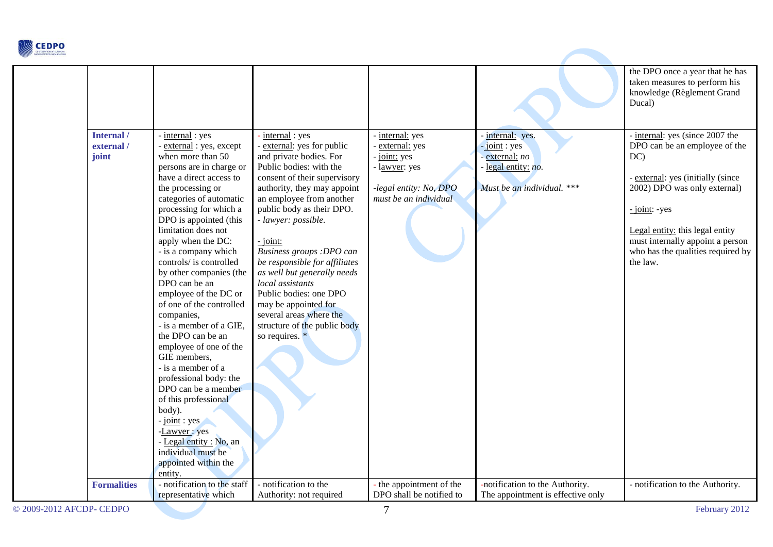

| Internal /<br>external / | - internal: yes                                                                                                                                                                                                                                                                                                                                                                                                                                                                                                                                                                                                                                                                                                                              | - internal: yes                                                                                                                                                                                                                                                                                                                                                                                                                                                                              | internal: yes                                                                                     | - internal: yes.                                                                       | the DPO once a year that he has<br>taken measures to perform his<br>knowledge (Règlement Grand<br>Ducal)<br>- internal: yes (since 2007 the                                                                                                        |
|--------------------------|----------------------------------------------------------------------------------------------------------------------------------------------------------------------------------------------------------------------------------------------------------------------------------------------------------------------------------------------------------------------------------------------------------------------------------------------------------------------------------------------------------------------------------------------------------------------------------------------------------------------------------------------------------------------------------------------------------------------------------------------|----------------------------------------------------------------------------------------------------------------------------------------------------------------------------------------------------------------------------------------------------------------------------------------------------------------------------------------------------------------------------------------------------------------------------------------------------------------------------------------------|---------------------------------------------------------------------------------------------------|----------------------------------------------------------------------------------------|----------------------------------------------------------------------------------------------------------------------------------------------------------------------------------------------------------------------------------------------------|
| joint                    | external: yes, except<br>when more than 50<br>persons are in charge or<br>have a direct access to<br>the processing or<br>categories of automatic<br>processing for which a<br>DPO is appointed (this<br>limitation does not<br>apply when the DC:<br>- is a company which<br>controls/ is controlled<br>by other companies (the<br>DPO can be an<br>employee of the DC or<br>of one of the controlled<br>companies,<br>- is a member of a GIE,<br>the DPO can be an<br>employee of one of the<br>GIE members,<br>- is a member of a<br>professional body: the<br>DPO can be a member<br>of this professional<br>body).<br>$-point: yes$<br>-Lawyer: yes<br>- Legal entity : No, an<br>individual must be<br>appointed within the<br>entity. | - external: yes for public<br>and private bodies. For<br>Public bodies: with the<br>consent of their supervisory<br>authority, they may appoint<br>an employee from another<br>public body as their DPO.<br>- lawyer: possible.<br>$-$ joint:<br>Business groups :DPO can<br>be responsible for affiliates<br>as well but generally needs<br>local assistants<br>Public bodies: one DPO<br>may be appointed for<br>several areas where the<br>structure of the public body<br>so requires. * | external: yes<br>- joint: yes<br>- lawyer: yes<br>-legal entity: No, DPO<br>must be an individual | $-joint: yes$<br>- external: $no$<br>- legal entity: no.<br>Must be an individual. *** | DPO can be an employee of the<br>DC)<br>- external: yes (initially (since<br>2002) DPO was only external)<br>- joint: -yes<br>Legal entity: this legal entity<br>must internally appoint a person<br>who has the qualities required by<br>the law. |
| <b>Formalities</b>       | - notification to the staff                                                                                                                                                                                                                                                                                                                                                                                                                                                                                                                                                                                                                                                                                                                  | - notification to the                                                                                                                                                                                                                                                                                                                                                                                                                                                                        | the appointment of the                                                                            | -notification to the Authority.                                                        | - notification to the Authority.                                                                                                                                                                                                                   |
|                          | representative which                                                                                                                                                                                                                                                                                                                                                                                                                                                                                                                                                                                                                                                                                                                         | Authority: not required                                                                                                                                                                                                                                                                                                                                                                                                                                                                      | DPO shall be notified to                                                                          | The appointment is effective only                                                      |                                                                                                                                                                                                                                                    |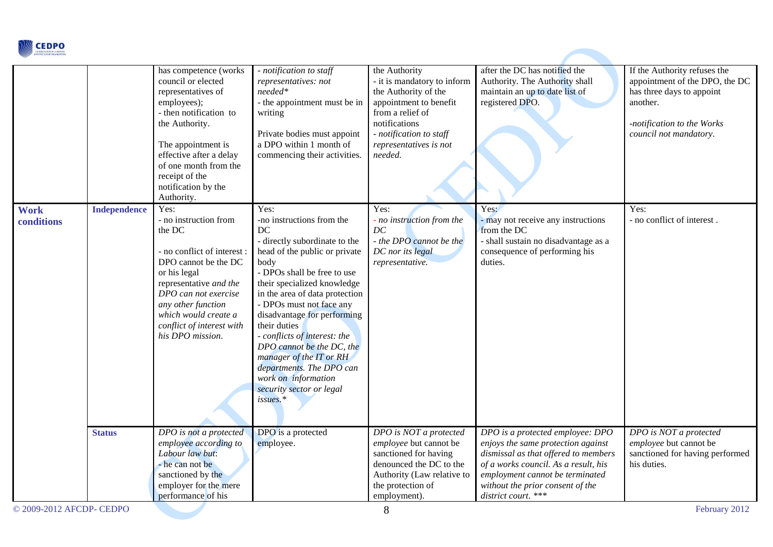

|                           |                     | has competence (works<br>council or elected<br>representatives of<br>employees);<br>- then notification to<br>the Authority.<br>The appointment is<br>effective after a delay<br>of one month from the<br>receipt of the<br>notification by the<br>Authority.   | - notification to staff<br>representatives: not<br>$needed*$<br>- the appointment must be in<br>writing<br>Private bodies must appoint<br>a DPO within 1 month of<br>commencing their activities.                                                                                                                                                                                                                                                                               | the Authority<br>- it is mandatory to inform<br>the Authority of the<br>appointment to benefit<br>from a relief of<br>notifications<br>- notification to staff<br>representatives is not<br>needed. | after the DC has notified the<br>Authority. The Authority shall<br>maintain an up to date list of<br>registered DPO.                                                                                                                                 | If the Authority refuses the<br>appointment of the DPO, the DC<br>has three days to appoint<br>another.<br>-notification to the Works<br>council not mandatory. |
|---------------------------|---------------------|-----------------------------------------------------------------------------------------------------------------------------------------------------------------------------------------------------------------------------------------------------------------|---------------------------------------------------------------------------------------------------------------------------------------------------------------------------------------------------------------------------------------------------------------------------------------------------------------------------------------------------------------------------------------------------------------------------------------------------------------------------------|-----------------------------------------------------------------------------------------------------------------------------------------------------------------------------------------------------|------------------------------------------------------------------------------------------------------------------------------------------------------------------------------------------------------------------------------------------------------|-----------------------------------------------------------------------------------------------------------------------------------------------------------------|
| <b>Work</b><br>conditions | <b>Independence</b> | Yes:<br>- no instruction from<br>the DC<br>- no conflict of interest :<br>DPO cannot be the DC<br>or his legal<br>representative and the<br>DPO can not exercise<br>any other function<br>which would create a<br>conflict of interest with<br>his DPO mission. | Yes:<br>-no instructions from the<br>DC<br>- directly subordinate to the<br>head of the public or private<br>body<br>- DPOs shall be free to use<br>their specialized knowledge<br>in the area of data protection<br>- DPOs must not face any<br>disadvantage for performing<br>their duties<br>- conflicts of interest: the<br>DPO cannot be the DC, the<br>manager of the IT or RH<br>departments. The DPO can<br>work on information<br>security sector or legal<br>issues.* | Yes:<br>- no instruction from the<br>DC<br>- the DPO cannot be the<br>DC nor its legal<br>representative.                                                                                           | Yes:<br>- may not receive any instructions<br>from the DC<br>- shall sustain no disadvantage as a<br>consequence of performing his<br>duties.                                                                                                        | Yes:<br>- no conflict of interest.                                                                                                                              |
|                           | <b>Status</b>       | DPO is not a protected<br>employee according to<br>Labour law but:<br>- he can not be<br>sanctioned by the<br>employer for the mere<br>performance of his                                                                                                       | DPO is a protected<br>employee.                                                                                                                                                                                                                                                                                                                                                                                                                                                 | DPO is NOT a protected<br>employee but cannot be<br>sanctioned for having<br>denounced the DC to the<br>Authority (Law relative to<br>the protection of<br>employment).                             | DPO is a protected employee: DPO<br>enjoys the same protection against<br>dismissal as that offered to members<br>of a works council. As a result, his<br>employment cannot be terminated<br>without the prior consent of the<br>district court. *** | DPO is NOT a protected<br>employee but cannot be<br>sanctioned for having performed<br>his duties.                                                              |
| © 2009-2012 AFCDP- CEDPO  |                     |                                                                                                                                                                                                                                                                 |                                                                                                                                                                                                                                                                                                                                                                                                                                                                                 | 8                                                                                                                                                                                                   |                                                                                                                                                                                                                                                      | February 2012                                                                                                                                                   |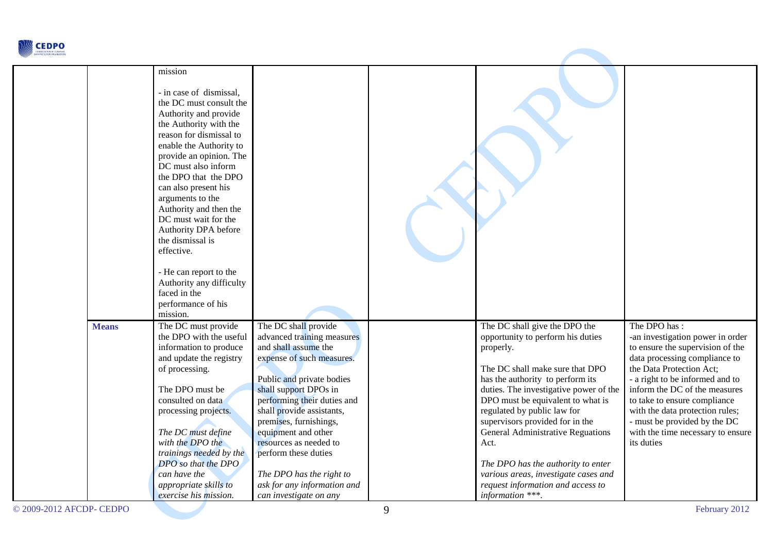

|              | mission                                                                                                                                                                                                                                                                                                                                                                                                                                                                                               |                                                                                                                                                                                                                                                                                                                                                                                                                   |                                                                                                                                                                                                                                                                                                                                                                                                                                                                                             |                                                                                                                                                                                                                                                                                                                                                                             |
|--------------|-------------------------------------------------------------------------------------------------------------------------------------------------------------------------------------------------------------------------------------------------------------------------------------------------------------------------------------------------------------------------------------------------------------------------------------------------------------------------------------------------------|-------------------------------------------------------------------------------------------------------------------------------------------------------------------------------------------------------------------------------------------------------------------------------------------------------------------------------------------------------------------------------------------------------------------|---------------------------------------------------------------------------------------------------------------------------------------------------------------------------------------------------------------------------------------------------------------------------------------------------------------------------------------------------------------------------------------------------------------------------------------------------------------------------------------------|-----------------------------------------------------------------------------------------------------------------------------------------------------------------------------------------------------------------------------------------------------------------------------------------------------------------------------------------------------------------------------|
|              | - in case of dismissal,<br>the DC must consult the<br>Authority and provide<br>the Authority with the<br>reason for dismissal to<br>enable the Authority to<br>provide an opinion. The<br>DC must also inform<br>the DPO that the DPO<br>can also present his<br>arguments to the<br>Authority and then the<br>DC must wait for the<br>Authority DPA before<br>the dismissal is<br>effective.<br>- He can report to the<br>Authority any difficulty<br>faced in the<br>performance of his<br>mission. |                                                                                                                                                                                                                                                                                                                                                                                                                   |                                                                                                                                                                                                                                                                                                                                                                                                                                                                                             |                                                                                                                                                                                                                                                                                                                                                                             |
| <b>Means</b> | The DC must provide<br>the DPO with the useful<br>information to produce<br>and update the registry<br>of processing.<br>The DPO must be<br>consulted on data<br>processing projects.<br>The DC must define<br>with the DPO the<br>trainings needed by the<br>DPO so that the DPO<br>can have the<br>appropriate skills to<br>exercise his mission.                                                                                                                                                   | The DC shall provide<br>advanced training measures<br>and shall assume the<br>expense of such measures.<br>Public and private bodies<br>shall support DPOs in<br>performing their duties and<br>shall provide assistants,<br>premises, furnishings,<br>equipment and other<br>resources as needed to<br>perform these duties<br>The DPO has the right to<br>ask for any information and<br>can investigate on any | The DC shall give the DPO the<br>opportunity to perform his duties<br>properly.<br>The DC shall make sure that DPO<br>has the authority to perform its<br>duties. The investigative power of the<br>DPO must be equivalent to what is<br>regulated by public law for<br>supervisors provided for in the<br>General Administrative Reguations<br>Act.<br>The DPO has the authority to enter<br>various areas, investigate cases and<br>request information and access to<br>information ***. | The DPO has:<br>-an investigation power in order<br>to ensure the supervision of the<br>data processing compliance to<br>the Data Protection Act;<br>- a right to be informed and to<br>inform the DC of the measures<br>to take to ensure compliance<br>with the data protection rules;<br>- must be provided by the DC<br>with the time necessary to ensure<br>its duties |

**STATISTICS**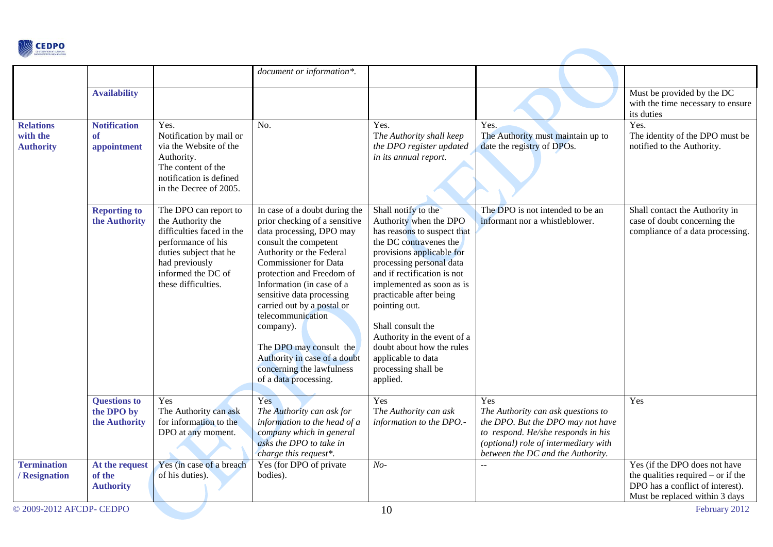

|                                                  |                                                     |                                                                                                                                                                                        | document or information*.                                                                                                                                                                                                                                                                                                                                                                                                                               |                                                                                                                                                                                                                                                                                                                                                                                                                   |                                                                                                                                                                                                   |                                                                                                                                             |
|--------------------------------------------------|-----------------------------------------------------|----------------------------------------------------------------------------------------------------------------------------------------------------------------------------------------|---------------------------------------------------------------------------------------------------------------------------------------------------------------------------------------------------------------------------------------------------------------------------------------------------------------------------------------------------------------------------------------------------------------------------------------------------------|-------------------------------------------------------------------------------------------------------------------------------------------------------------------------------------------------------------------------------------------------------------------------------------------------------------------------------------------------------------------------------------------------------------------|---------------------------------------------------------------------------------------------------------------------------------------------------------------------------------------------------|---------------------------------------------------------------------------------------------------------------------------------------------|
|                                                  | <b>Availability</b>                                 |                                                                                                                                                                                        |                                                                                                                                                                                                                                                                                                                                                                                                                                                         |                                                                                                                                                                                                                                                                                                                                                                                                                   |                                                                                                                                                                                                   | Must be provided by the DC<br>with the time necessary to ensure<br>its duties                                                               |
| <b>Relations</b><br>with the<br><b>Authority</b> | <b>Notification</b><br><sub>of</sub><br>appointment | Yes.<br>Notification by mail or<br>via the Website of the<br>Authority.<br>The content of the<br>notification is defined<br>in the Decree of 2005.                                     | No.                                                                                                                                                                                                                                                                                                                                                                                                                                                     | Yes.<br>The Authority shall keep<br>the DPO register updated<br>in its annual report.                                                                                                                                                                                                                                                                                                                             | Yes.<br>The Authority must maintain up to<br>date the registry of DPOs.                                                                                                                           | Yes.<br>The identity of the DPO must be<br>notified to the Authority.                                                                       |
|                                                  | <b>Reporting to</b><br>the Authority                | The DPO can report to<br>the Authority the<br>difficulties faced in the<br>performance of his<br>duties subject that he<br>had previously<br>informed the DC of<br>these difficulties. | In case of a doubt during the<br>prior checking of a sensitive<br>data processing, DPO may<br>consult the competent<br>Authority or the Federal<br><b>Commissioner</b> for Data<br>protection and Freedom of<br>Information (in case of a<br>sensitive data processing<br>carried out by a postal or<br>telecommunication<br>company).<br>The DPO may consult the<br>Authority in case of a doubt<br>concerning the lawfulness<br>of a data processing. | Shall notify to the<br>Authority when the DPO<br>has reasons to suspect that<br>the DC contravenes the<br>provisions applicable for<br>processing personal data<br>and if rectification is not<br>implemented as soon as is<br>practicable after being<br>pointing out.<br>Shall consult the<br>Authority in the event of a<br>doubt about how the rules<br>applicable to data<br>processing shall be<br>applied. | The DPO is not intended to be an<br>informant nor a whistleblower.                                                                                                                                | Shall contact the Authority in<br>case of doubt concerning the<br>compliance of a data processing.                                          |
|                                                  | <b>Questions to</b><br>the DPO by<br>the Authority  | Yes<br>The Authority can ask<br>for information to the<br>DPO at any moment.                                                                                                           | Yes<br>The Authority can ask for<br>information to the head of a<br>company which in general<br>asks the DPO to take in<br>charge this request*.                                                                                                                                                                                                                                                                                                        | Yes<br>The Authority can ask<br>information to the DPO.-                                                                                                                                                                                                                                                                                                                                                          | Yes<br>The Authority can ask questions to<br>the DPO. But the DPO may not have<br>to respond. He/she responds in his<br>(optional) role of intermediary with<br>between the DC and the Authority. | Yes                                                                                                                                         |
| <b>Termination</b><br>/ Resignation              | At the request<br>of the<br><b>Authority</b>        | Yes (in case of a breach<br>of his duties).                                                                                                                                            | Yes (for DPO of private<br>bodies).                                                                                                                                                                                                                                                                                                                                                                                                                     | $No-$                                                                                                                                                                                                                                                                                                                                                                                                             |                                                                                                                                                                                                   | Yes (if the DPO does not have<br>the qualities required $-$ or if the<br>DPO has a conflict of interest).<br>Must be replaced within 3 days |
| © 2009-2012 AFCDP- CEDPO                         |                                                     |                                                                                                                                                                                        |                                                                                                                                                                                                                                                                                                                                                                                                                                                         | 10                                                                                                                                                                                                                                                                                                                                                                                                                |                                                                                                                                                                                                   | February 2012                                                                                                                               |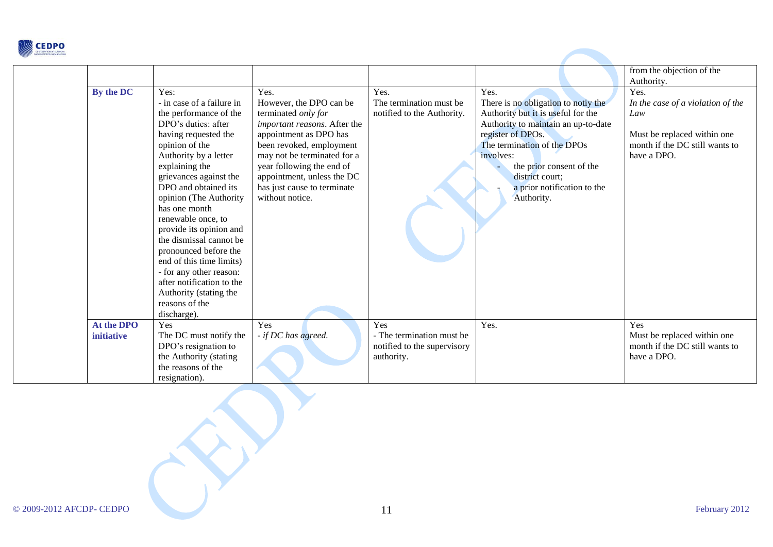

| By the DC                       | Yes:<br>- in case of a failure in<br>the performance of the<br>DPO's duties: after<br>having requested the<br>opinion of the<br>Authority by a letter<br>explaining the<br>grievances against the<br>DPO and obtained its<br>opinion (The Authority<br>has one month<br>renewable once, to<br>provide its opinion and<br>the dismissal cannot be<br>pronounced before the<br>end of this time limits)<br>- for any other reason:<br>after notification to the<br>Authority (stating the<br>reasons of the<br>discharge). | Yes.<br>However, the DPO can be<br>terminated only for<br>important reasons. After the<br>appointment as DPO has<br>been revoked, employment<br>may not be terminated for a<br>year following the end of<br>appointment, unless the DC<br>has just cause to terminate<br>without notice. | Yes.<br>The termination must be.<br>notified to the Authority.                | Yes.<br>There is no obligation to notiy the<br>Authority but it is useful for the<br>Authority to maintain an up-to-date<br>register of DPOs.<br>The termination of the DPOs<br>involves:<br>the prior consent of the<br>district court;<br>a prior notification to the<br>Authority. | from the objection of the<br>Authority.<br>Yes.<br>In the case of a violation of the<br>Law<br>Must be replaced within one<br>month if the DC still wants to<br>have a DPO. |
|---------------------------------|--------------------------------------------------------------------------------------------------------------------------------------------------------------------------------------------------------------------------------------------------------------------------------------------------------------------------------------------------------------------------------------------------------------------------------------------------------------------------------------------------------------------------|------------------------------------------------------------------------------------------------------------------------------------------------------------------------------------------------------------------------------------------------------------------------------------------|-------------------------------------------------------------------------------|---------------------------------------------------------------------------------------------------------------------------------------------------------------------------------------------------------------------------------------------------------------------------------------|-----------------------------------------------------------------------------------------------------------------------------------------------------------------------------|
| At the DPO<br><i>initiative</i> | Yes<br>The DC must notify the<br>DPO's resignation to<br>the Authority (stating<br>the reasons of the<br>resignation).                                                                                                                                                                                                                                                                                                                                                                                                   | Yes<br>- if DC has agreed.                                                                                                                                                                                                                                                               | Yes<br>- The termination must be<br>notified to the supervisory<br>authority. | Yes.                                                                                                                                                                                                                                                                                  | Yes<br>Must be replaced within one<br>month if the DC still wants to<br>have a DPO.                                                                                         |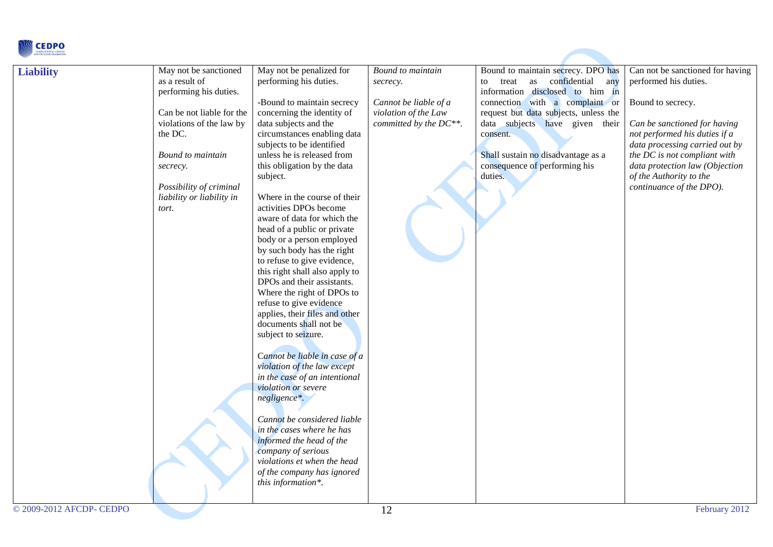

| <b>Liability</b>         | May not be sanctioned<br>as a result of<br>performing his duties.<br>Can be not liable for the<br>violations of the law by<br>the DC.<br>Bound to maintain<br>secrecy.<br>Possibility of criminal<br>liability or liability in<br>tort. | May not be penalized for<br>performing his duties.<br>-Bound to maintain secrecy<br>concerning the identity of<br>data subjects and the<br>circumstances enabling data<br>subjects to be identified<br>unless he is released from<br>this obligation by the data<br>subject.<br>Where in the course of their<br>activities DPOs become<br>aware of data for which the<br>head of a public or private<br>body or a person employed<br>by such body has the right<br>to refuse to give evidence,<br>this right shall also apply to<br>DPOs and their assistants.<br>Where the right of DPOs to<br>refuse to give evidence<br>applies, their files and other<br>documents shall not be<br>subject to seizure.<br>Cannot be liable in case of a<br>violation of the law except<br>in the case of an intentional<br>violation or severe<br>negligence*.<br>Cannot be considered liable<br>in the cases where he has<br>informed the head of the<br>company of serious<br>violations et when the head<br>of the company has ignored<br>this information*. | Bound to maintain<br>secrecy.<br>Cannot be liable of a<br>violation of the Law<br>committed by the DC**. | Bound to maintain secrecy. DPO has<br>as confidential<br>treat<br>any<br>to<br>information disclosed to him in<br>connection with a complaint or<br>request but data subjects, unless the<br>data subjects have given their<br>consent.<br>Shall sustain no disadvantage as a<br>consequence of performing his<br>duties. | Can not be sanctioned for having<br>performed his duties.<br>Bound to secrecy.<br>Can be sanctioned for having<br>not performed his duties if a<br>data processing carried out by<br>the DC is not compliant with<br>data protection law (Objection<br>of the Authority to the<br>continuance of the DPO). |
|--------------------------|-----------------------------------------------------------------------------------------------------------------------------------------------------------------------------------------------------------------------------------------|-----------------------------------------------------------------------------------------------------------------------------------------------------------------------------------------------------------------------------------------------------------------------------------------------------------------------------------------------------------------------------------------------------------------------------------------------------------------------------------------------------------------------------------------------------------------------------------------------------------------------------------------------------------------------------------------------------------------------------------------------------------------------------------------------------------------------------------------------------------------------------------------------------------------------------------------------------------------------------------------------------------------------------------------------------|----------------------------------------------------------------------------------------------------------|---------------------------------------------------------------------------------------------------------------------------------------------------------------------------------------------------------------------------------------------------------------------------------------------------------------------------|------------------------------------------------------------------------------------------------------------------------------------------------------------------------------------------------------------------------------------------------------------------------------------------------------------|
| © 2009-2012 AFCDP- CEDPO |                                                                                                                                                                                                                                         |                                                                                                                                                                                                                                                                                                                                                                                                                                                                                                                                                                                                                                                                                                                                                                                                                                                                                                                                                                                                                                                     | 12                                                                                                       |                                                                                                                                                                                                                                                                                                                           | February 2012                                                                                                                                                                                                                                                                                              |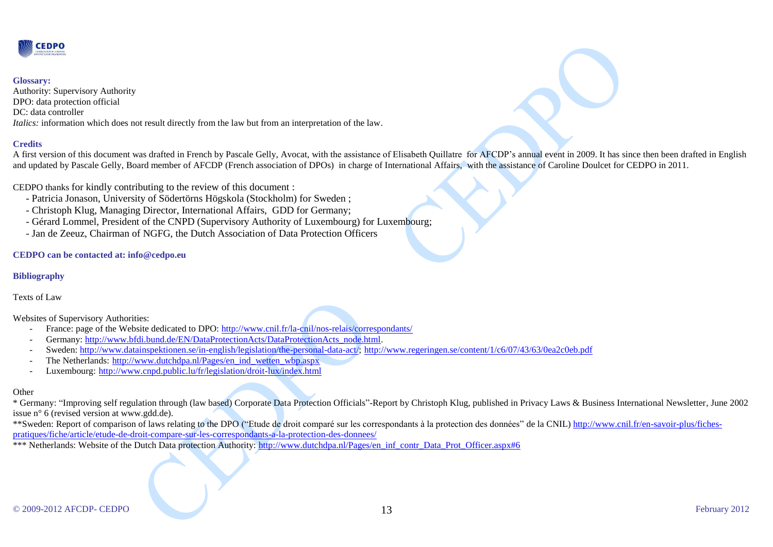

#### **Glossary:**

Authority: Supervisory Authority DPO: data protection official DC: data controller *Italics:* information which does not result directly from the law but from an interpretation of the law.

### **Credits**

A first version of this document was drafted in French by Pascale Gelly, Avocat, with the assistance of Elisabeth Quillatre for AFCDP's annual event in 2009. It has since then been drafted in English and updated by Pascale Gelly, Board member of AFCDP (French association of DPOs) in charge of International Affairs, with the assistance of Caroline Doulcet for CEDPO in 2011.

CEDPO thanks for kindly contributing to the review of this document :

- Patricia Jonason, University of Södertörns Högskola (Stockholm) for Sweden ;
- Christoph Klug, Managing Director, International Affairs, GDD for Germany;
- Gérard Lommel, President of the CNPD (Supervisory Authority of Luxembourg) for Luxembourg;
- Jan de Zeeuz, Chairman of NGFG, the Dutch Association of Data Protection Officers

### **CEDPO can be contacted at: info@cedpo.eu**

### **Bibliography**

### Texts of Law

Websites of Supervisory Authorities:

- France: page of the Website dedicated to DPO:<http://www.cnil.fr/la-cnil/nos-relais/correspondants/>
- Germany: [http://www.bfdi.bund.de/EN/DataProtectionActs/DataProtectionActs\\_node.html.](http://www.bfdi.bund.de/EN/DataProtectionActs/DataProtectionActs_node.html)
- Sweden: [http://www.datainspektionen.se/in-english/legislation/the-personal-data-act/;](http://www.datainspektionen.se/in-english/legislation/the-personal-data-act/) <http://www.regeringen.se/content/1/c6/07/43/63/0ea2c0eb.pdf>
- The Netherlands: [http://www.dutchdpa.nl/Pages/en\\_ind\\_wetten\\_wbp.aspx](http://www.dutchdpa.nl/Pages/en_ind_wetten_wbp.aspx)
- Luxembourg: <http://www.cnpd.public.lu/fr/legislation/droit-lux/index.html>

#### **Other**

\* Germany: "Improving self regulation through (law based) Corporate Data Protection Officials"-Report by Christoph Klug, published in Privacy Laws & Business International Newsletter, June 2002 issue n° 6 (revised version at www.gdd.de).

\*\*Sweden: Report of comparison of laws relating to the DPO ("Etude de droit comparé sur les correspondants à la protection des données" de la CNIL) [http://www.cnil.fr/en-savoir-plus/fiches](http://www.cnil.fr/en-savoir-plus/fiches-pratiques/fiche/article/etude-de-droit-compare-sur-les-correspondants-a-la-protection-des-donnees/)[pratiques/fiche/article/etude-de-droit-compare-sur-les-correspondants-a-la-protection-des-donnees/](http://www.cnil.fr/en-savoir-plus/fiches-pratiques/fiche/article/etude-de-droit-compare-sur-les-correspondants-a-la-protection-des-donnees/)

\*\*\* Netherlands: Website of the Dutch Data protection Authority: [http://www.dutchdpa.nl/Pages/en\\_inf\\_contr\\_Data\\_Prot\\_Officer.aspx#6](http://www.dutchdpa.nl/Pages/en_inf_contr_Data_Prot_Officer.aspx#6)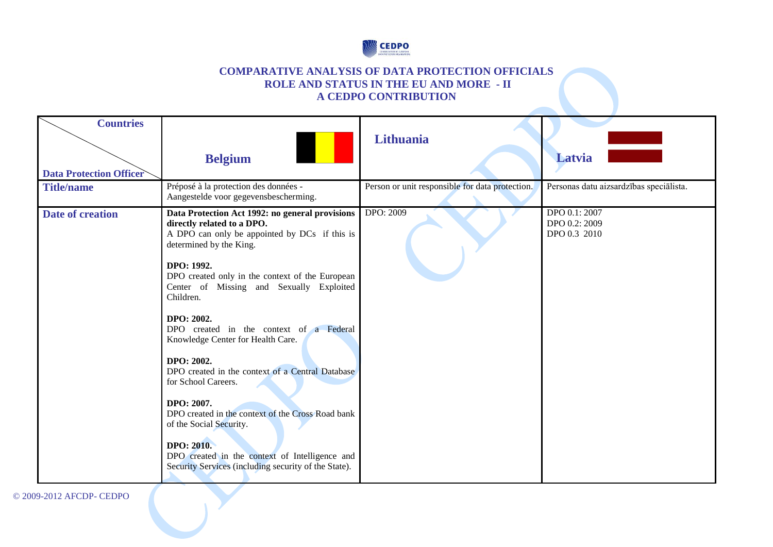

### **COMPARATIVE ANALYSIS OF DATA PROTECTION OFFICIALS ROLE AND STATUS IN THE EU AND MORE - II A CEDPO CONTRIBUTION**

| <b>Countries</b>               |                                                                                                                                                                                                                                                                                                                                                                                                                                                                                                                                                                                                                                                 |                                                 |                                                |
|--------------------------------|-------------------------------------------------------------------------------------------------------------------------------------------------------------------------------------------------------------------------------------------------------------------------------------------------------------------------------------------------------------------------------------------------------------------------------------------------------------------------------------------------------------------------------------------------------------------------------------------------------------------------------------------------|-------------------------------------------------|------------------------------------------------|
|                                |                                                                                                                                                                                                                                                                                                                                                                                                                                                                                                                                                                                                                                                 | Lithuania                                       |                                                |
|                                | <b>Belgium</b>                                                                                                                                                                                                                                                                                                                                                                                                                                                                                                                                                                                                                                  |                                                 | Latvia                                         |
| <b>Data Protection Officer</b> |                                                                                                                                                                                                                                                                                                                                                                                                                                                                                                                                                                                                                                                 |                                                 |                                                |
| <b>Title/name</b>              | Préposé à la protection des données -<br>Aangestelde voor gegevensbescherming.                                                                                                                                                                                                                                                                                                                                                                                                                                                                                                                                                                  | Person or unit responsible for data protection. | Personas datu aizsardzības speciālista.        |
| Date of creation               | Data Protection Act 1992: no general provisions<br>directly related to a DPO.<br>A DPO can only be appointed by DCs if this is<br>determined by the King.<br>DPO: 1992.<br>DPO created only in the context of the European<br>Center of Missing and Sexually Exploited<br>Children.<br>DPO: 2002.<br>DPO created in the context of a Federal<br>Knowledge Center for Health Care.<br>DPO: 2002.<br>DPO created in the context of a Central Database<br>for School Careers.<br>DPO: 2007.<br>DPO created in the context of the Cross Road bank<br>of the Social Security.<br><b>DPO: 2010.</b><br>DPO created in the context of Intelligence and | <b>DPO: 2009</b>                                | DPO 0.1: 2007<br>DPO 0.2: 2009<br>DPO 0.3 2010 |
|                                | Security Services (including security of the State).                                                                                                                                                                                                                                                                                                                                                                                                                                                                                                                                                                                            |                                                 |                                                |

© 2009-2012 AFCDP- CEDPO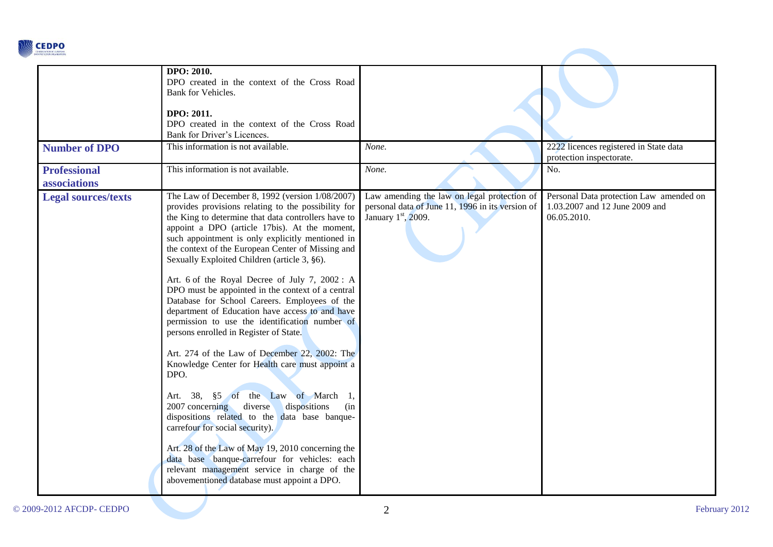

|                                     | DPO: 2010.<br>DPO created in the context of the Cross Road<br>Bank for Vehicles.<br>DPO: 2011.<br>DPO created in the context of the Cross Road<br>Bank for Driver's Licences.                                                                                                                                                                                                                                                                                                                                                                                                                                                                                                                                                                                                                                                                                                                                                                                                                                                                                                                                                                                              |                                                                                                                          |                                                                                          |
|-------------------------------------|----------------------------------------------------------------------------------------------------------------------------------------------------------------------------------------------------------------------------------------------------------------------------------------------------------------------------------------------------------------------------------------------------------------------------------------------------------------------------------------------------------------------------------------------------------------------------------------------------------------------------------------------------------------------------------------------------------------------------------------------------------------------------------------------------------------------------------------------------------------------------------------------------------------------------------------------------------------------------------------------------------------------------------------------------------------------------------------------------------------------------------------------------------------------------|--------------------------------------------------------------------------------------------------------------------------|------------------------------------------------------------------------------------------|
| <b>Number of DPO</b>                | This information is not available.                                                                                                                                                                                                                                                                                                                                                                                                                                                                                                                                                                                                                                                                                                                                                                                                                                                                                                                                                                                                                                                                                                                                         | None.                                                                                                                    | 2222 licences registered in State data<br>protection inspectorate.                       |
| <b>Professional</b><br>associations | This information is not available.                                                                                                                                                                                                                                                                                                                                                                                                                                                                                                                                                                                                                                                                                                                                                                                                                                                                                                                                                                                                                                                                                                                                         | None.                                                                                                                    | No.                                                                                      |
| <b>Legal sources/texts</b>          | The Law of December 8, 1992 (version 1/08/2007)<br>provides provisions relating to the possibility for<br>the King to determine that data controllers have to<br>appoint a DPO (article 17bis). At the moment,<br>such appointment is only explicitly mentioned in<br>the context of the European Center of Missing and<br>Sexually Exploited Children (article 3, §6).<br>Art. 6 of the Royal Decree of July 7, 2002: A<br>DPO must be appointed in the context of a central<br>Database for School Careers. Employees of the<br>department of Education have access to and have<br>permission to use the identification number of<br>persons enrolled in Register of State.<br>Art. 274 of the Law of December 22, 2002: The<br>Knowledge Center for Health care must appoint a<br>DPO.<br>Art. 38, §5 of the Law of March 1,<br>dispositions<br>2007 concerning diverse<br>(in<br>dispositions related to the data base banque-<br>carrefour for social security).<br>Art. 28 of the Law of May 19, 2010 concerning the<br>data base banque-carrefour for vehicles: each<br>relevant management service in charge of the<br>abovementioned database must appoint a DPO. | Law amending the law on legal protection of<br>personal data of June 11, 1996 in its version of<br>January $1st$ , 2009. | Personal Data protection Law amended on<br>1.03.2007 and 12 June 2009 and<br>06.05.2010. |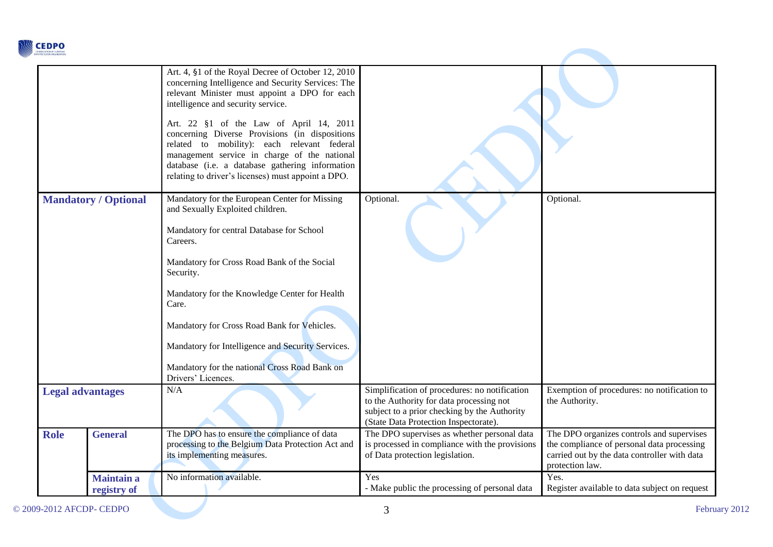

| <b>CONFEDERATION OF EUROPEAN</b> |                                  |                                                                                                                                                                                                                                                                                                                                                                                                                                                                                                      |                                                                                                                                                                                    |                                                                                                                                                            |
|----------------------------------|----------------------------------|------------------------------------------------------------------------------------------------------------------------------------------------------------------------------------------------------------------------------------------------------------------------------------------------------------------------------------------------------------------------------------------------------------------------------------------------------------------------------------------------------|------------------------------------------------------------------------------------------------------------------------------------------------------------------------------------|------------------------------------------------------------------------------------------------------------------------------------------------------------|
|                                  |                                  | Art. 4, §1 of the Royal Decree of October 12, 2010<br>concerning Intelligence and Security Services: The<br>relevant Minister must appoint a DPO for each<br>intelligence and security service.<br>Art. 22 §1 of the Law of April 14, 2011<br>concerning Diverse Provisions (in dispositions<br>related to mobility): each relevant federal<br>management service in charge of the national<br>database (i.e. a database gathering information<br>relating to driver's licenses) must appoint a DPO. |                                                                                                                                                                                    |                                                                                                                                                            |
| <b>Mandatory / Optional</b>      |                                  | Mandatory for the European Center for Missing<br>and Sexually Exploited children.<br>Mandatory for central Database for School<br>Careers.<br>Mandatory for Cross Road Bank of the Social<br>Security.<br>Mandatory for the Knowledge Center for Health<br>Care.<br>Mandatory for Cross Road Bank for Vehicles.<br>Mandatory for Intelligence and Security Services.<br>Mandatory for the national Cross Road Bank on<br>Drivers' Licences.                                                          | Optional.                                                                                                                                                                          | Optional.                                                                                                                                                  |
| <b>Legal advantages</b>          |                                  | N/A                                                                                                                                                                                                                                                                                                                                                                                                                                                                                                  | Simplification of procedures: no notification<br>to the Authority for data processing not<br>subject to a prior checking by the Authority<br>(State Data Protection Inspectorate). | Exemption of procedures: no notification to<br>the Authority.                                                                                              |
| <b>Role</b>                      | <b>General</b>                   | The DPO has to ensure the compliance of data<br>processing to the Belgium Data Protection Act and<br>its implementing measures.                                                                                                                                                                                                                                                                                                                                                                      | The DPO supervises as whether personal data<br>is processed in compliance with the provisions<br>of Data protection legislation.                                                   | The DPO organizes controls and supervises<br>the compliance of personal data processing<br>carried out by the data controller with data<br>protection law. |
|                                  | <b>Maintain a</b><br>registry of | No information available.                                                                                                                                                                                                                                                                                                                                                                                                                                                                            | Yes<br>- Make public the processing of personal data                                                                                                                               | Yes.<br>Register available to data subject on request                                                                                                      |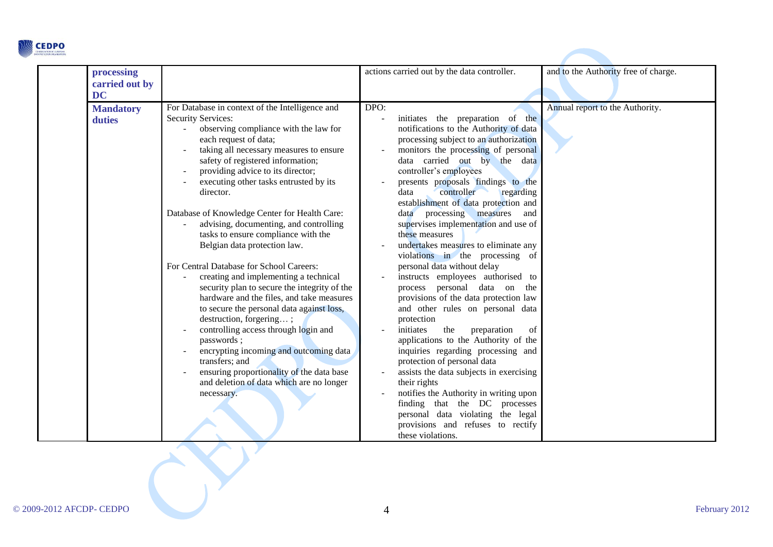

| processing<br>carried out by<br><b>DC</b> |                                                                                                                                                                                                                                                                                                                                                                                                                                                                                                                                                                                                                                                                                                                                                                                                                                                                                                                                                                                 | actions carried out by the data controller.                                                                                                                                                                                                                                                                                                                                                                                                                                                                                                                                                                                                                                                                                                                                                                                                                                                                                                                                                                                                                                                                      | and to the Authority free of charge. |
|-------------------------------------------|---------------------------------------------------------------------------------------------------------------------------------------------------------------------------------------------------------------------------------------------------------------------------------------------------------------------------------------------------------------------------------------------------------------------------------------------------------------------------------------------------------------------------------------------------------------------------------------------------------------------------------------------------------------------------------------------------------------------------------------------------------------------------------------------------------------------------------------------------------------------------------------------------------------------------------------------------------------------------------|------------------------------------------------------------------------------------------------------------------------------------------------------------------------------------------------------------------------------------------------------------------------------------------------------------------------------------------------------------------------------------------------------------------------------------------------------------------------------------------------------------------------------------------------------------------------------------------------------------------------------------------------------------------------------------------------------------------------------------------------------------------------------------------------------------------------------------------------------------------------------------------------------------------------------------------------------------------------------------------------------------------------------------------------------------------------------------------------------------------|--------------------------------------|
| <b>Mandatory</b><br>duties                | For Database in context of the Intelligence and<br><b>Security Services:</b><br>observing compliance with the law for<br>each request of data;<br>taking all necessary measures to ensure<br>safety of registered information;<br>providing advice to its director;<br>executing other tasks entrusted by its<br>director.<br>Database of Knowledge Center for Health Care:<br>advising, documenting, and controlling<br>tasks to ensure compliance with the<br>Belgian data protection law.<br>For Central Database for School Careers:<br>creating and implementing a technical<br>security plan to secure the integrity of the<br>hardware and the files, and take measures<br>to secure the personal data against loss,<br>destruction, forgering;<br>controlling access through login and<br>passwords;<br>encrypting incoming and outcoming data<br>transfers; and<br>ensuring proportionality of the data base<br>and deletion of data which are no longer<br>necessary. | DPO:<br>initiates the preparation of the<br>notifications to the Authority of data<br>processing subject to an authorization<br>monitors the processing of personal<br>data carried out by the data<br>controller's employees<br>presents proposals findings to the<br>controller<br>regarding<br>data<br>establishment of data protection and<br>data processing measures<br>and<br>supervises implementation and use of<br>these measures<br>undertakes measures to eliminate any<br>violations in the processing of<br>personal data without delay<br>instructs employees authorised to<br>process personal data on the<br>provisions of the data protection law<br>and other rules on personal data<br>protection<br>initiates<br>the<br>preparation<br>of<br>applications to the Authority of the<br>inquiries regarding processing and<br>protection of personal data<br>assists the data subjects in exercising<br>their rights<br>notifies the Authority in writing upon<br>finding that the DC processes<br>personal data violating the legal<br>provisions and refuses to rectify<br>these violations. | Annual report to the Authority.      |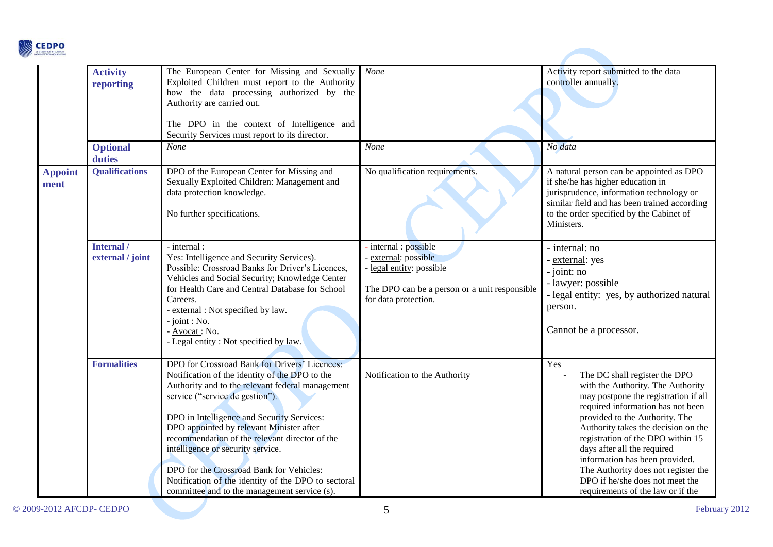

|                        | <b>Activity</b><br>reporting   | The European Center for Missing and Sexually<br>Exploited Children must report to the Authority<br>how the data processing authorized by the<br>Authority are carried out.<br>The DPO in the context of Intelligence and<br>Security Services must report to its director.                                                                                                                                                                                                                                                 | None                                                                                                                                         | Activity report submitted to the data<br>controller annually.                                                                                                                                                                                                                                                                                                                                                                                        |
|------------------------|--------------------------------|----------------------------------------------------------------------------------------------------------------------------------------------------------------------------------------------------------------------------------------------------------------------------------------------------------------------------------------------------------------------------------------------------------------------------------------------------------------------------------------------------------------------------|----------------------------------------------------------------------------------------------------------------------------------------------|------------------------------------------------------------------------------------------------------------------------------------------------------------------------------------------------------------------------------------------------------------------------------------------------------------------------------------------------------------------------------------------------------------------------------------------------------|
|                        | <b>Optional</b><br>duties      | <b>None</b>                                                                                                                                                                                                                                                                                                                                                                                                                                                                                                                | <b>None</b>                                                                                                                                  | No data                                                                                                                                                                                                                                                                                                                                                                                                                                              |
| <b>Appoint</b><br>ment | <b>Qualifications</b>          | DPO of the European Center for Missing and<br>Sexually Exploited Children: Management and<br>data protection knowledge.<br>No further specifications.                                                                                                                                                                                                                                                                                                                                                                      | No qualification requirements.                                                                                                               | A natural person can be appointed as DPO<br>if she/he has higher education in<br>jurisprudence, information technology or<br>similar field and has been trained according<br>to the order specified by the Cabinet of<br>Ministers.                                                                                                                                                                                                                  |
|                        | Internal /<br>external / joint | - internal :<br>Yes: Intelligence and Security Services).<br>Possible: Crossroad Banks for Driver's Licences,<br>Vehicles and Social Security; Knowledge Center<br>for Health Care and Central Database for School<br>Careers.<br>- external: Not specified by law.<br>joint : No.<br>Avocat: No.<br>Legal entity: Not specified by law.                                                                                                                                                                                   | internal : possible<br>external: possible<br>legal entity: possible<br>The DPO can be a person or a unit responsible<br>for data protection. | - internal: no<br>- external: yes<br>- joint: no<br>- <u>lawyer</u> : possible<br>- legal entity: yes, by authorized natural<br>person.<br>Cannot be a processor.                                                                                                                                                                                                                                                                                    |
|                        | <b>Formalities</b>             | DPO for Crossroad Bank for Drivers' Licences:<br>Notification of the identity of the DPO to the<br>Authority and to the relevant federal management<br>service ("service de gestion").<br>DPO in Intelligence and Security Services:<br>DPO appointed by relevant Minister after<br>recommendation of the relevant director of the<br>intelligence or security service.<br>DPO for the Crossroad Bank for Vehicles:<br>Notification of the identity of the DPO to sectoral<br>committee and to the management service (s). | Notification to the Authority                                                                                                                | Yes<br>The DC shall register the DPO<br>with the Authority. The Authority<br>may postpone the registration if all<br>required information has not been<br>provided to the Authority. The<br>Authority takes the decision on the<br>registration of the DPO within 15<br>days after all the required<br>information has been provided.<br>The Authority does not register the<br>DPO if he/she does not meet the<br>requirements of the law or if the |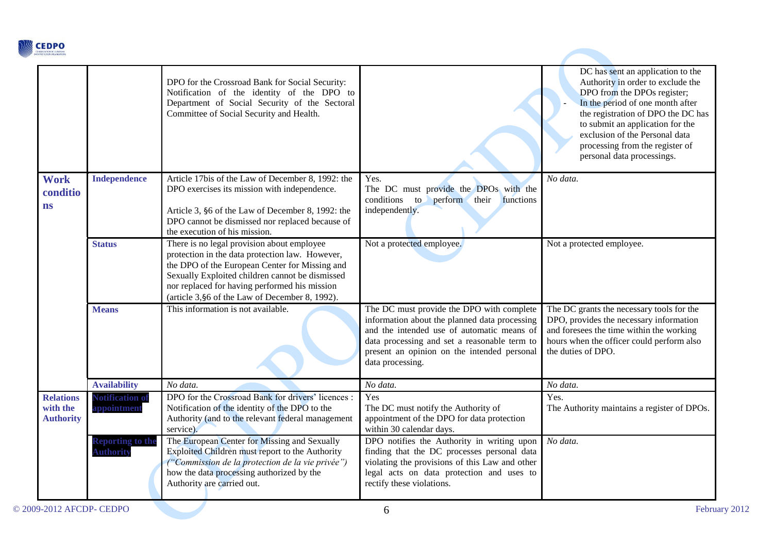

|                                                  |                                             | DPO for the Crossroad Bank for Social Security:<br>Notification of the identity of the DPO to<br>Department of Social Security of the Sectoral<br>Committee of Social Security and Health.                                                                                                             |                                                                                                                                                                                                                                                             | DC has sent an application to the<br>Authority in order to exclude the<br>DPO from the DPOs register;<br>In the period of one month after<br>the registration of DPO the DC has<br>to submit an application for the<br>exclusion of the Personal data<br>processing from the register of<br>personal data processings. |
|--------------------------------------------------|---------------------------------------------|--------------------------------------------------------------------------------------------------------------------------------------------------------------------------------------------------------------------------------------------------------------------------------------------------------|-------------------------------------------------------------------------------------------------------------------------------------------------------------------------------------------------------------------------------------------------------------|------------------------------------------------------------------------------------------------------------------------------------------------------------------------------------------------------------------------------------------------------------------------------------------------------------------------|
| <b>Work</b><br>conditio<br>ns                    | <b>Independence</b>                         | Article 17bis of the Law of December 8, 1992: the<br>DPO exercises its mission with independence.<br>Article 3, §6 of the Law of December 8, 1992: the<br>DPO cannot be dismissed nor replaced because of<br>the execution of his mission.                                                             | Yes.<br>The DC must provide the DPOs with the<br>conditions to<br>perform their<br>functions<br>independently.                                                                                                                                              | No data.                                                                                                                                                                                                                                                                                                               |
|                                                  | <b>Status</b>                               | There is no legal provision about employee<br>protection in the data protection law. However,<br>the DPO of the European Center for Missing and<br>Sexually Exploited children cannot be dismissed<br>nor replaced for having performed his mission<br>(article 3, §6 of the Law of December 8, 1992). | Not a protected employee.                                                                                                                                                                                                                                   | Not a protected employee.                                                                                                                                                                                                                                                                                              |
|                                                  | <b>Means</b>                                | This information is not available.                                                                                                                                                                                                                                                                     | The DC must provide the DPO with complete<br>information about the planned data processing<br>and the intended use of automatic means of<br>data processing and set a reasonable term to<br>present an opinion on the intended personal<br>data processing. | The DC grants the necessary tools for the<br>DPO, provides the necessary information<br>and foresees the time within the working<br>hours when the officer could perform also<br>the duties of DPO.                                                                                                                    |
|                                                  | <b>Availability</b>                         | No data.                                                                                                                                                                                                                                                                                               | No data.                                                                                                                                                                                                                                                    | No data.                                                                                                                                                                                                                                                                                                               |
| <b>Relations</b><br>with the<br><b>Authority</b> | <b>Notification of</b><br>appointment       | DPO for the Crossroad Bank for drivers' licences :<br>Notification of the identity of the DPO to the<br>Authority (and to the relevant federal management<br>service).                                                                                                                                 | Yes<br>The DC must notify the Authority of<br>appointment of the DPO for data protection<br>within 30 calendar days.                                                                                                                                        | Yes.<br>The Authority maintains a register of DPOs.                                                                                                                                                                                                                                                                    |
|                                                  | <b>Reporting to the</b><br><b>Authority</b> | The European Center for Missing and Sexually<br>Exploited Children must report to the Authority<br>("Commission de la protection de la vie privée")<br>how the data processing authorized by the<br>Authority are carried out.                                                                         | DPO notifies the Authority in writing upon<br>finding that the DC processes personal data<br>violating the provisions of this Law and other<br>legal acts on data protection and uses to<br>rectify these violations.                                       | No data.                                                                                                                                                                                                                                                                                                               |

**Contract Contract Contract Contract**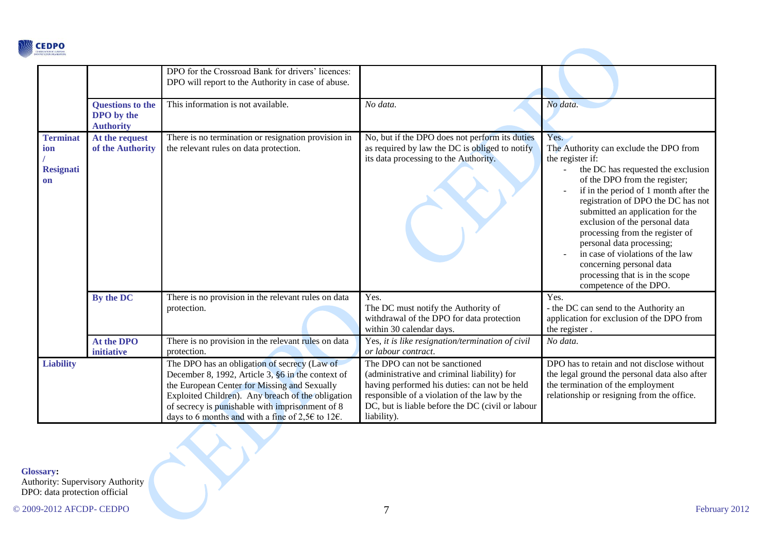

|                                                  |                                                                  | DPO for the Crossroad Bank for drivers' licences:<br>DPO will report to the Authority in case of abuse.                                                                                                                                                                                                                            |                                                                                                                                                                                                                                                 |                                                                                                                                                                                                                                                                                                                                                                                                                                                                                             |
|--------------------------------------------------|------------------------------------------------------------------|------------------------------------------------------------------------------------------------------------------------------------------------------------------------------------------------------------------------------------------------------------------------------------------------------------------------------------|-------------------------------------------------------------------------------------------------------------------------------------------------------------------------------------------------------------------------------------------------|---------------------------------------------------------------------------------------------------------------------------------------------------------------------------------------------------------------------------------------------------------------------------------------------------------------------------------------------------------------------------------------------------------------------------------------------------------------------------------------------|
|                                                  | <b>Questions to the</b><br><b>DPO</b> by the<br><b>Authority</b> | This information is not available.                                                                                                                                                                                                                                                                                                 | No data.                                                                                                                                                                                                                                        | No data.                                                                                                                                                                                                                                                                                                                                                                                                                                                                                    |
| <b>Terminat</b><br>ion<br><b>Resignati</b><br>on | At the request<br>of the Authority                               | There is no termination or resignation provision in<br>the relevant rules on data protection.                                                                                                                                                                                                                                      | No, but if the DPO does not perform its duties<br>as required by law the DC is obliged to notify<br>its data processing to the Authority.                                                                                                       | Yes.<br>The Authority can exclude the DPO from<br>the register if:<br>the DC has requested the exclusion<br>of the DPO from the register;<br>if in the period of 1 month after the<br>registration of DPO the DC has not<br>submitted an application for the<br>exclusion of the personal data<br>processing from the register of<br>personal data processing;<br>in case of violations of the law<br>concerning personal data<br>processing that is in the scope<br>competence of the DPO. |
|                                                  | By the DC                                                        | There is no provision in the relevant rules on data<br>protection.                                                                                                                                                                                                                                                                 | Yes.<br>The DC must notify the Authority of<br>withdrawal of the DPO for data protection<br>within 30 calendar days.                                                                                                                            | Yes.<br>- the DC can send to the Authority an<br>application for exclusion of the DPO from<br>the register.                                                                                                                                                                                                                                                                                                                                                                                 |
|                                                  | At the DPO<br>initiative                                         | There is no provision in the relevant rules on data<br>protection.                                                                                                                                                                                                                                                                 | Yes, it is like resignation/termination of civil<br>or labour contract.                                                                                                                                                                         | No data.                                                                                                                                                                                                                                                                                                                                                                                                                                                                                    |
| <b>Liability</b>                                 |                                                                  | The DPO has an obligation of secrecy (Law of<br>December 8, 1992, Article 3, §6 in the context of<br>the European Center for Missing and Sexually<br>Exploited Children). Any breach of the obligation<br>of secrecy is punishable with imprisonment of 8<br>days to 6 months and with a fine of 2,5 $\epsilon$ to 12 $\epsilon$ . | The DPO can not be sanctioned<br>(administrative and criminal liability) for<br>having performed his duties: can not be held<br>responsible of a violation of the law by the<br>DC, but is liable before the DC (civil or labour<br>liability). | DPO has to retain and not disclose without<br>the legal ground the personal data also after<br>the termination of the employment<br>relationship or resigning from the office.                                                                                                                                                                                                                                                                                                              |

Authority: Supervisory Authority DPO: data protection official

**Contract Contract**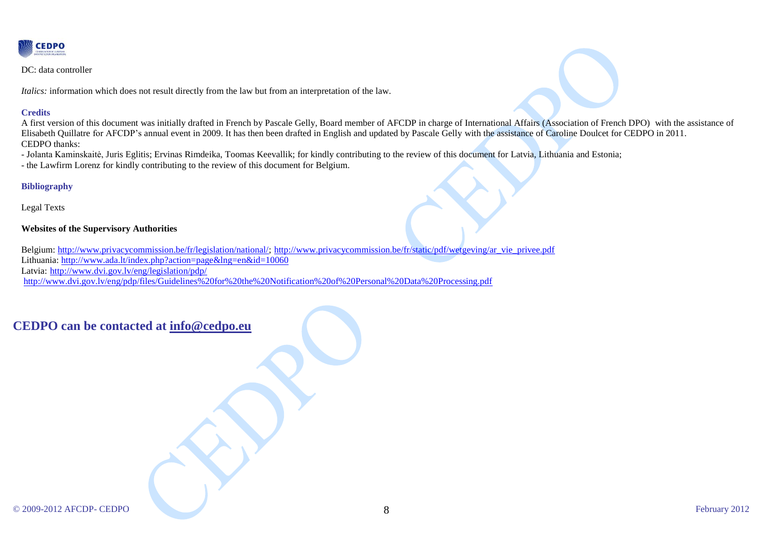

DC: data controller

*Italics:* information which does not result directly from the law but from an interpretation of the law.

### **Credits**

A first version of this document was initially drafted in French by Pascale Gelly, Board member of AFCDP in charge of International Affairs (Association of French DPO) with the assistance of Elisabeth Quillatre for AFCDP's annual event in 2009. It has then been drafted in English and updated by Pascale Gelly with the assistance of Caroline Doulcet for CEDPO in 2011. CEDPO thanks:

- Jolanta Kaminskaitė, Juris Eglitis; Ervinas Rimdeika, Toomas Keevallik; for kindly contributing to the review of this document for Latvia, Lithuania and Estonia;

- the Lawfirm Lorenz for kindly contributing to the review of this document for Belgium.

### **Bibliography**

Legal Texts

### **Websites of the Supervisory Authorities**

Belgium: [http://www.privacycommission.be/fr/legislation/national/;](http://www.privacycommission.be/fr/legislation/national/) [http://www.privacycommission.be/fr/static/pdf/wetgeving/ar\\_vie\\_privee.pdf](http://www.privacycommission.be/fr/static/pdf/wetgeving/ar_vie_privee.pdf) Lithuania:<http://www.ada.lt/index.php?action=page&lng=en&id=10060> Latvia: <http://www.dvi.gov.lv/eng/legislation/pdp/> <http://www.dvi.gov.lv/eng/pdp/files/Guidelines%20for%20the%20Notification%20of%20Personal%20Data%20Processing.pdf>

# **CEDPO can be contacted at [info@cedpo.eu](mailto:info@cedpo.eu)**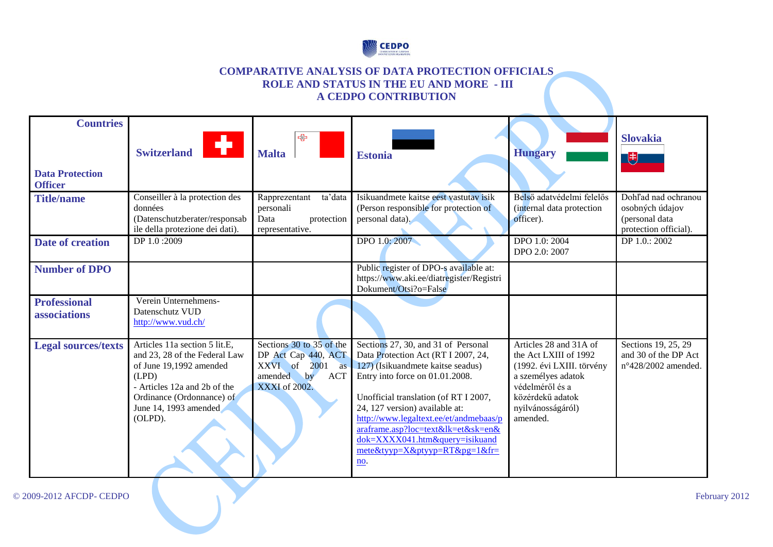

### **COMPARATIVE ANALYSIS OF DATA PROTECTION OFFICIALS ROLE AND STATUS IN THE EU AND MORE - III A CEDPO CONTRIBUTION**

| <b>Countries</b>                         |                                                                                                                                                                                                     |                                                                                                                    |                                                                                                                                                                                                                                                                                                                                                                                              |                                                                                                                                                                            |                                                                                   |
|------------------------------------------|-----------------------------------------------------------------------------------------------------------------------------------------------------------------------------------------------------|--------------------------------------------------------------------------------------------------------------------|----------------------------------------------------------------------------------------------------------------------------------------------------------------------------------------------------------------------------------------------------------------------------------------------------------------------------------------------------------------------------------------------|----------------------------------------------------------------------------------------------------------------------------------------------------------------------------|-----------------------------------------------------------------------------------|
| <b>Data Protection</b><br><b>Officer</b> | ÷.<br><b>Switzerland</b>                                                                                                                                                                            | ↔<br><b>Malta</b>                                                                                                  | <b>Estonia</b>                                                                                                                                                                                                                                                                                                                                                                               | <b>Hungary</b>                                                                                                                                                             | <b>Slovakia</b><br>閂                                                              |
| <b>Title/name</b>                        | Conseiller à la protection des<br>données<br>(Datenschutzberater/responsab<br>ile della protezione dei dati).                                                                                       | Rapprezentant<br>ta'data<br>personali<br>Data<br>protection<br>representative.                                     | Isikuandmete kaitse eest vastutav isik<br>(Person responsible for protection of<br>personal data).                                                                                                                                                                                                                                                                                           | Belső adatvédelmi felelős<br>(internal data protection<br>officer).                                                                                                        | Dohľad nad ochranou<br>osobných údajov<br>(personal data<br>protection official). |
| <b>Date of creation</b>                  | DP 1.0:2009                                                                                                                                                                                         |                                                                                                                    | DPO 1.0:2007                                                                                                                                                                                                                                                                                                                                                                                 | DPO 1.0: 2004<br>DPO 2.0: 2007                                                                                                                                             | DP 1.0.: 2002                                                                     |
| <b>Number of DPO</b>                     |                                                                                                                                                                                                     |                                                                                                                    | Public register of DPO-s available at:<br>https://www.aki.ee/diatregister/Registri<br>Dokument/Otsi?o=False                                                                                                                                                                                                                                                                                  |                                                                                                                                                                            |                                                                                   |
| <b>Professional</b><br>associations      | Verein Unternehmens-<br>Datenschutz VUD<br>http://www.vud.ch/                                                                                                                                       |                                                                                                                    |                                                                                                                                                                                                                                                                                                                                                                                              |                                                                                                                                                                            |                                                                                   |
| <b>Legal sources/texts</b>               | Articles 11a section 5 lit.E.<br>and 23, 28 of the Federal Law<br>of June 19,1992 amended<br>(LPD)<br>- Articles 12a and 2b of the<br>Ordinance (Ordonnance) of<br>June 14, 1993 amended<br>(OLPD). | Sections 30 to 35 of the<br>DP Act Cap 440, ACT<br>XXVI of 2001 as<br>amended<br><b>ACT</b><br>by<br>XXXI of 2002. | Sections 27, 30, and 31 of Personal<br>Data Protection Act (RT I 2007, 24,<br>127) (Isikuandmete kaitse seadus)<br>Entry into force on 01.01.2008.<br>Unofficial translation (of RT I 2007,<br>24, 127 version) available at:<br>http://www.legaltext.ee/et/andmebaas/p<br>araframe.asp?loc=text&lk=et&sk=en&<br>dok=XXXX041.htm&query=isikuand<br>$mete\&tyyp=X\&ptyyp=RT\&pg=1\&fr$<br>no. | Articles 28 and 31A of<br>the Act LXIII of 1992<br>(1992. évi LXIII. törvény<br>a személyes adatok<br>védelméről és a<br>közérdekű adatok<br>nyilvánosságáról)<br>amended. | Sections 19, 25, 29<br>and 30 of the DP Act<br>n°428/2002 amended.                |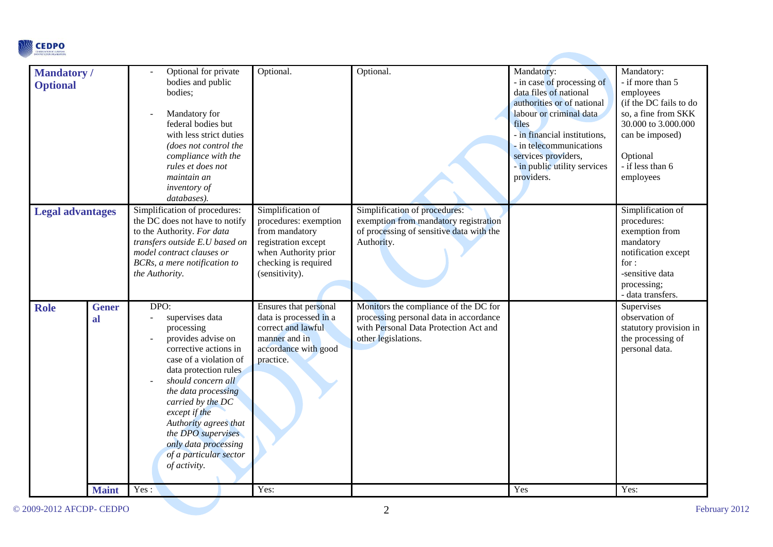

| <b>Mandatory</b> /      |              | Optional for private           | Optional.              | Optional.                                | Mandatory:                   | Mandatory:             |
|-------------------------|--------------|--------------------------------|------------------------|------------------------------------------|------------------------------|------------------------|
| <b>Optional</b>         |              | bodies and public              |                        |                                          | - in case of processing of   | - if more than 5       |
|                         |              | bodies;                        |                        |                                          | data files of national       | employees              |
|                         |              |                                |                        |                                          | authorities or of national   | (if the DC fails to do |
|                         |              | Mandatory for                  |                        |                                          | labour or criminal data      | so, a fine from SKK    |
|                         |              | federal bodies but             |                        |                                          | files                        | 30.000 to 3.000.000    |
|                         |              | with less strict duties        |                        |                                          | - in financial institutions, | can be imposed)        |
|                         |              | (does not control the          |                        |                                          | - in telecommunications      |                        |
|                         |              | compliance with the            |                        |                                          | services providers,          | Optional               |
|                         |              | rules et does not              |                        |                                          | - in public utility services | - if less than 6       |
|                         |              | maintain an                    |                        |                                          | providers.                   | employees              |
|                         |              | inventory of                   |                        |                                          |                              |                        |
|                         |              | databases).                    |                        |                                          |                              |                        |
| <b>Legal advantages</b> |              | Simplification of procedures:  | Simplification of      | Simplification of procedures:            |                              | Simplification of      |
|                         |              | the DC does not have to notify | procedures: exemption  | exemption from mandatory registration    |                              | procedures:            |
|                         |              | to the Authority. For data     | from mandatory         | of processing of sensitive data with the |                              | exemption from         |
|                         |              | transfers outside E.U based on | registration except    | Authority.                               |                              | mandatory              |
|                         |              | model contract clauses or      | when Authority prior   |                                          |                              | notification except    |
|                         |              | BCRs, a mere notification to   | checking is required   |                                          |                              | for:                   |
|                         |              | the Authority.                 | (sensitivity).         |                                          |                              | -sensitive data        |
|                         |              |                                |                        |                                          |                              | processing;            |
|                         |              |                                |                        |                                          |                              | - data transfers.      |
| <b>Role</b>             | <b>Gener</b> | DPO:                           | Ensures that personal  | Monitors the compliance of the DC for    |                              | Supervises             |
|                         | al           | supervises data                | data is processed in a | processing personal data in accordance   |                              | observation of         |
|                         |              | processing                     | correct and lawful     | with Personal Data Protection Act and    |                              | statutory provision in |
|                         |              | provides advise on             | manner and in          | other legislations.                      |                              | the processing of      |
|                         |              | corrective actions in          | accordance with good   |                                          |                              | personal data.         |
|                         |              | case of a violation of         | practice.              |                                          |                              |                        |
|                         |              | data protection rules          |                        |                                          |                              |                        |
|                         |              | should concern all             |                        |                                          |                              |                        |
|                         |              | the data processing            |                        |                                          |                              |                        |
|                         |              | carried by the DC              |                        |                                          |                              |                        |
|                         |              | except if the                  |                        |                                          |                              |                        |
|                         |              | Authority agrees that          |                        |                                          |                              |                        |
|                         |              | the DPO supervises             |                        |                                          |                              |                        |
|                         |              | only data processing           |                        |                                          |                              |                        |
|                         |              | of a particular sector         |                        |                                          |                              |                        |
|                         |              | of activity.                   |                        |                                          |                              |                        |
|                         |              |                                |                        |                                          |                              |                        |
|                         | <b>Maint</b> | Yes:                           | Yes:                   |                                          | Yes                          | Yes:                   |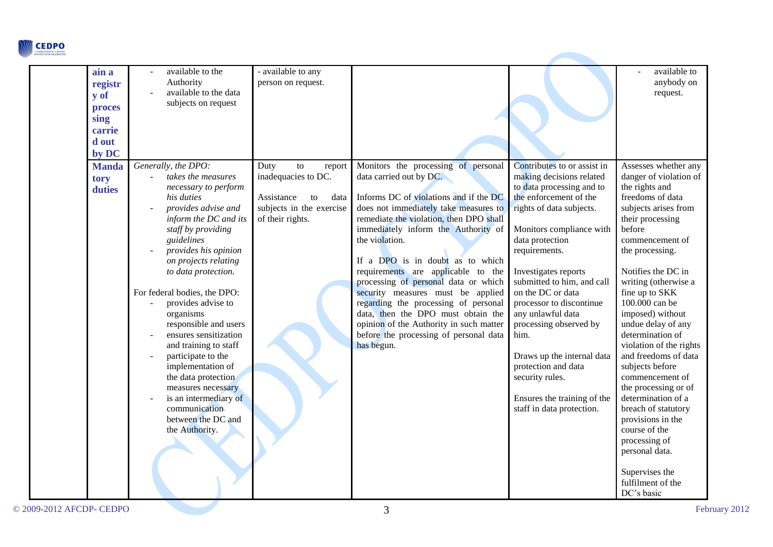

| ain a<br>registr<br>y of<br>proces<br>sing<br>carrie<br>d out<br>by DC | available to the<br>Authority<br>available to the data<br>subjects on request                                                                                                                                                                                                                                                                                                                                                                                                                                                                                      | - available to any<br>person on request.                                                                                                    |                                                                                                                                                                                                                                                                                                                                                                                                                                                                                                                                                                                               |                                                                                                                                                                                                                                                                                                                                                                                                                                                                                                              | available to<br>anybody on<br>request.                                                                                                                                                                                                                                                                                                                                                                                                                                                                                                                                                    |
|------------------------------------------------------------------------|--------------------------------------------------------------------------------------------------------------------------------------------------------------------------------------------------------------------------------------------------------------------------------------------------------------------------------------------------------------------------------------------------------------------------------------------------------------------------------------------------------------------------------------------------------------------|---------------------------------------------------------------------------------------------------------------------------------------------|-----------------------------------------------------------------------------------------------------------------------------------------------------------------------------------------------------------------------------------------------------------------------------------------------------------------------------------------------------------------------------------------------------------------------------------------------------------------------------------------------------------------------------------------------------------------------------------------------|--------------------------------------------------------------------------------------------------------------------------------------------------------------------------------------------------------------------------------------------------------------------------------------------------------------------------------------------------------------------------------------------------------------------------------------------------------------------------------------------------------------|-------------------------------------------------------------------------------------------------------------------------------------------------------------------------------------------------------------------------------------------------------------------------------------------------------------------------------------------------------------------------------------------------------------------------------------------------------------------------------------------------------------------------------------------------------------------------------------------|
| <b>Manda</b><br>tory<br>duties                                         | Generally, the DPO:<br>takes the measures<br>necessary to perform<br>his duties<br>provides advise and<br>inform the DC and its<br>staff by providing<br>guidelines<br>provides his opinion<br>on projects relating<br>to data protection.<br>For federal bodies, the DPO:<br>provides advise to<br>organisms<br>responsible and users<br>ensures sensitization<br>and training to staff<br>participate to the<br>implementation of<br>the data protection<br>measures necessary<br>is an intermediary of<br>communication<br>between the DC and<br>the Authority. | $\mathop{\mathrm{to}}$<br>Duty<br>report<br>inadequacies to DC.<br>Assistance<br>data<br>to<br>subjects in the exercise<br>of their rights. | Monitors the processing of personal<br>data carried out by DC.<br>Informs DC of violations and if the DC<br>does not immediately take measures to<br>remediate the violation, then DPO shall<br>immediately inform the Authority of<br>the violation.<br>If a DPO is in doubt as to which<br>requirements are applicable to the<br>processing of personal data or which<br>security measures must be applied<br>regarding the processing of personal<br>data, then the DPO must obtain the<br>opinion of the Authority in such matter<br>before the processing of personal data<br>has begun. | Contributes to or assist in<br>making decisions related<br>to data processing and to<br>the enforcement of the<br>rights of data subjects.<br>Monitors compliance with<br>data protection<br>requirements.<br>Investigates reports<br>submitted to him, and call<br>on the DC or data<br>processor to discontinue<br>any unlawful data<br>processing observed by<br>him.<br>Draws up the internal data<br>protection and data<br>security rules.<br>Ensures the training of the<br>staff in data protection. | Assesses whether any<br>danger of violation of<br>the rights and<br>freedoms of data<br>subjects arises from<br>their processing<br>before<br>commencement of<br>the processing.<br>Notifies the DC in<br>writing (otherwise a<br>fine up to SKK<br>100.000 can be<br>imposed) without<br>undue delay of any<br>determination of<br>violation of the rights<br>and freedoms of data<br>subjects before<br>commencement of<br>the processing or of<br>determination of a<br>breach of statutory<br>provisions in the<br>course of the<br>processing of<br>personal data.<br>Supervises the |
|                                                                        |                                                                                                                                                                                                                                                                                                                                                                                                                                                                                                                                                                    |                                                                                                                                             |                                                                                                                                                                                                                                                                                                                                                                                                                                                                                                                                                                                               |                                                                                                                                                                                                                                                                                                                                                                                                                                                                                                              | fulfilment of the<br>DC's basic                                                                                                                                                                                                                                                                                                                                                                                                                                                                                                                                                           |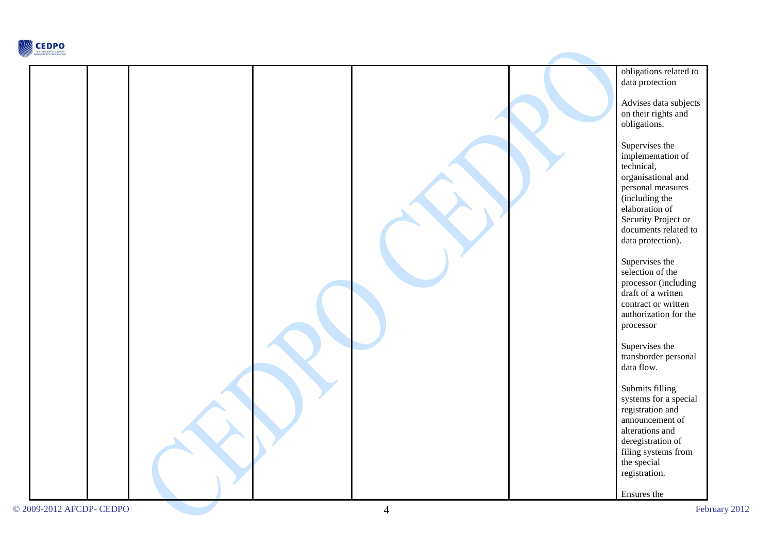

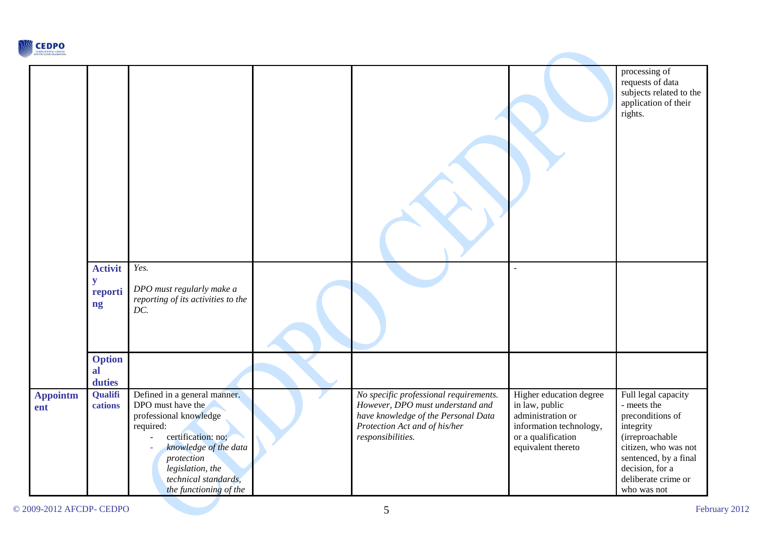

|                 |                                      |                                                                                                                                                                                                                             |                                                                                                                                                                         |                                                                                                                                       | processing of<br>requests of data<br>subjects related to the<br>application of their<br>rights.                                                                                                  |
|-----------------|--------------------------------------|-----------------------------------------------------------------------------------------------------------------------------------------------------------------------------------------------------------------------------|-------------------------------------------------------------------------------------------------------------------------------------------------------------------------|---------------------------------------------------------------------------------------------------------------------------------------|--------------------------------------------------------------------------------------------------------------------------------------------------------------------------------------------------|
|                 | <b>Activit</b><br>y<br>reporti<br>ng | Yes.<br>DPO must regularly make a<br>reporting of its activities to the<br>DC.                                                                                                                                              |                                                                                                                                                                         |                                                                                                                                       |                                                                                                                                                                                                  |
|                 | <b>Option</b><br>al<br>duties        |                                                                                                                                                                                                                             |                                                                                                                                                                         |                                                                                                                                       |                                                                                                                                                                                                  |
| Appointm<br>ent | Qualifi<br>cations                   | Defined in a general manner.<br>DPO must have the<br>professional knowledge<br>required:<br>certification: no:<br>knowledge of the data<br>protection<br>legislation, the<br>technical standards,<br>the functioning of the | No specific professional requirements.<br>However, DPO must understand and<br>have knowledge of the Personal Data<br>Protection Act and of his/her<br>responsibilities. | Higher education degree<br>in law, public<br>administration or<br>information technology,<br>or a qualification<br>equivalent thereto | Full legal capacity<br>- meets the<br>preconditions of<br>integrity<br>(irreproachable<br>citizen, who was not<br>sentenced, by a final<br>decision, for a<br>deliberate crime or<br>who was not |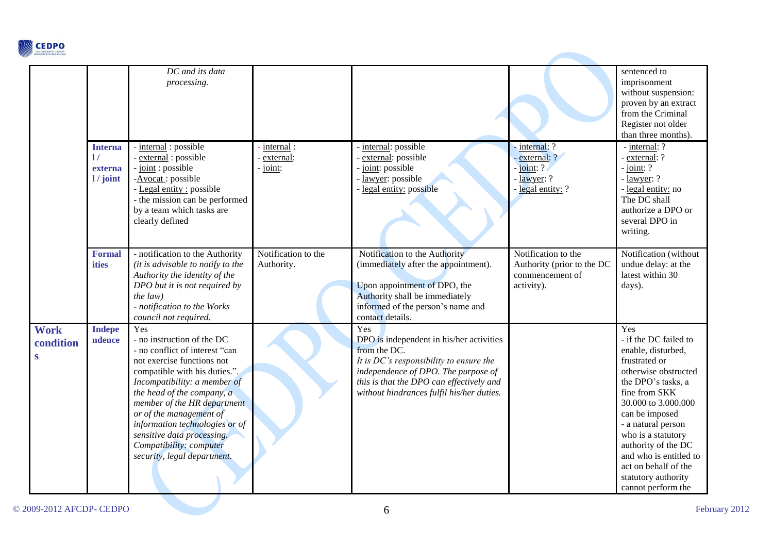

|                                          |                                                      | DC and its data<br>processing.                                                                                                                                                                                                                                                                                                                                                       |                                    |                                                                                                                                                                                                                                               |                                                                                    | sentenced to<br>imprisonment<br>without suspension:<br>proven by an extract<br>from the Criminal<br>Register not older<br>than three months).                                                                                                                                                                                                 |
|------------------------------------------|------------------------------------------------------|--------------------------------------------------------------------------------------------------------------------------------------------------------------------------------------------------------------------------------------------------------------------------------------------------------------------------------------------------------------------------------------|------------------------------------|-----------------------------------------------------------------------------------------------------------------------------------------------------------------------------------------------------------------------------------------------|------------------------------------------------------------------------------------|-----------------------------------------------------------------------------------------------------------------------------------------------------------------------------------------------------------------------------------------------------------------------------------------------------------------------------------------------|
|                                          | <b>Interna</b><br>$\mathbf{1}$<br>externa<br>1/joint | - internal : possible<br>external : possible<br>- joint: possible<br>-Avocat: possible<br>- Legal entity : possible<br>- the mission can be performed<br>by a team which tasks are<br>clearly defined                                                                                                                                                                                | internal:<br>external:<br>- joint: | internal: possible<br>external: possible<br>joint: possible<br>lawyer: possible<br>legal entity: possible                                                                                                                                     | - internal: ?<br>- external: ?<br>joint: ?<br>- lawyer: ?<br>legal entity: ?       | - internal: ?<br>- external: ?<br>$-$ joint: ?<br>- lawyer: ?<br>- legal entity: no<br>The DC shall<br>authorize a DPO or<br>several DPO in<br>writing.                                                                                                                                                                                       |
|                                          | <b>Formal</b><br>ities                               | - notification to the Authority<br>(it is advisable to notify to the<br>Authority the identity of the<br>DPO but it is not required by<br>the $law)$<br>- notification to the Works<br>council not required.                                                                                                                                                                         | Notification to the<br>Authority.  | Notification to the Authority<br>(immediately after the appointment).<br>Upon appointment of DPO, the<br>Authority shall be immediately<br>informed of the person's name and<br>contact details.                                              | Notification to the<br>Authority (prior to the DC<br>commencement of<br>activity). | Notification (without<br>undue delay: at the<br>latest within 30<br>days).                                                                                                                                                                                                                                                                    |
| <b>Work</b><br>condition<br>$\mathbf{s}$ | <b>Indepe</b><br>ndence                              | Yes<br>- no instruction of the DC<br>- no conflict of interest "can<br>not exercise functions not<br>compatible with his duties.".<br>Incompatibility: a member of<br>the head of the company, a<br>member of the HR department<br>or of the management of<br>information technologies or of<br>sensitive data processing.<br>Compatibility: computer<br>security, legal department. |                                    | Yes<br>DPO is independent in his/her activities<br>from the DC.<br>It is $DC$ 's responsibility to ensure the<br>independence of DPO. The purpose of<br>this is that the DPO can effectively and<br>without hindrances fulfil his/her duties. |                                                                                    | Yes<br>- if the DC failed to<br>enable, disturbed,<br>frustrated or<br>otherwise obstructed<br>the DPO's tasks, a<br>fine from SKK<br>30.000 to 3.000.000<br>can be imposed<br>- a natural person<br>who is a statutory<br>authority of the DC<br>and who is entitled to<br>act on behalf of the<br>statutory authority<br>cannot perform the |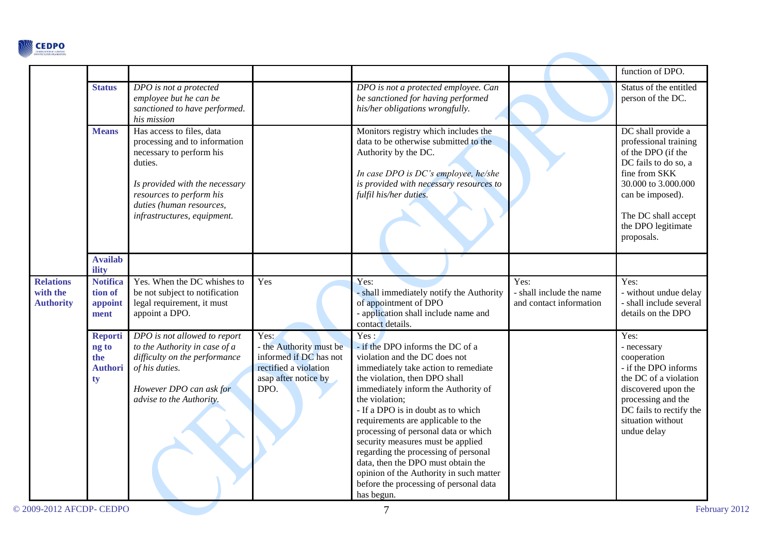

|                                                  |                                                        |                                                                                                                                                                                                                            |                                                                                                                    |                                                                                                                                                                                                                                                                                                                                                                                                                                                                                                                                                       |                                                             | function of DPO.                                                                                                                                                                                                 |
|--------------------------------------------------|--------------------------------------------------------|----------------------------------------------------------------------------------------------------------------------------------------------------------------------------------------------------------------------------|--------------------------------------------------------------------------------------------------------------------|-------------------------------------------------------------------------------------------------------------------------------------------------------------------------------------------------------------------------------------------------------------------------------------------------------------------------------------------------------------------------------------------------------------------------------------------------------------------------------------------------------------------------------------------------------|-------------------------------------------------------------|------------------------------------------------------------------------------------------------------------------------------------------------------------------------------------------------------------------|
|                                                  | <b>Status</b>                                          | DPO is not a protected<br>employee but he can be<br>sanctioned to have performed.<br>his mission                                                                                                                           |                                                                                                                    | DPO is not a protected employee. Can<br>be sanctioned for having performed<br>his/her obligations wrongfully.                                                                                                                                                                                                                                                                                                                                                                                                                                         |                                                             | Status of the entitled<br>person of the DC.                                                                                                                                                                      |
|                                                  | <b>Means</b>                                           | Has access to files, data<br>processing and to information<br>necessary to perform his<br>duties.<br>Is provided with the necessary<br>resources to perform his<br>duties (human resources,<br>infrastructures, equipment. |                                                                                                                    | Monitors registry which includes the<br>data to be otherwise submitted to the<br>Authority by the DC.<br>In case DPO is DC's employee, he/she<br>is provided with necessary resources to<br>fulfil his/her duties.                                                                                                                                                                                                                                                                                                                                    |                                                             | DC shall provide a<br>professional training<br>of the DPO (if the<br>DC fails to do so, a<br>fine from SKK<br>30.000 to 3.000.000<br>can be imposed).<br>The DC shall accept<br>the DPO legitimate<br>proposals. |
|                                                  | <b>Availab</b><br>ility                                |                                                                                                                                                                                                                            |                                                                                                                    |                                                                                                                                                                                                                                                                                                                                                                                                                                                                                                                                                       |                                                             |                                                                                                                                                                                                                  |
| <b>Relations</b><br>with the<br><b>Authority</b> | <b>Notifica</b><br>tion of<br>appoint<br>ment          | Yes. When the DC whishes to<br>be not subject to notification<br>legal requirement, it must<br>appoint a DPO.                                                                                                              | Yes                                                                                                                | Yes:<br>- shall immediately notify the Authority<br>of appointment of DPO<br>- application shall include name and<br>contact details.                                                                                                                                                                                                                                                                                                                                                                                                                 | Yes:<br>- shall include the name<br>and contact information | Yes:<br>- without undue delay<br>- shall include several<br>details on the DPO                                                                                                                                   |
|                                                  | <b>Reporti</b><br>ng to<br>the<br><b>Authori</b><br>ty | DPO is not allowed to report<br>to the Authority in case of a<br>difficulty on the performance<br>of his duties.<br>However DPO can ask for<br>advise to the Authority.                                                    | Yes:<br>- the Authority must be<br>informed if DC has not<br>rectified a violation<br>asap after notice by<br>DPO. | Yes:<br>- if the DPO informs the DC of a<br>violation and the DC does not<br>immediately take action to remediate<br>the violation, then DPO shall<br>immediately inform the Authority of<br>the violation;<br>- If a DPO is in doubt as to which<br>requirements are applicable to the<br>processing of personal data or which<br>security measures must be applied<br>regarding the processing of personal<br>data, then the DPO must obtain the<br>opinion of the Authority in such matter<br>before the processing of personal data<br>has begun. |                                                             | Yes:<br>- necessary<br>cooperation<br>- if the DPO informs<br>the DC of a violation<br>discovered upon the<br>processing and the<br>DC fails to rectify the<br>situation without<br>undue delay                  |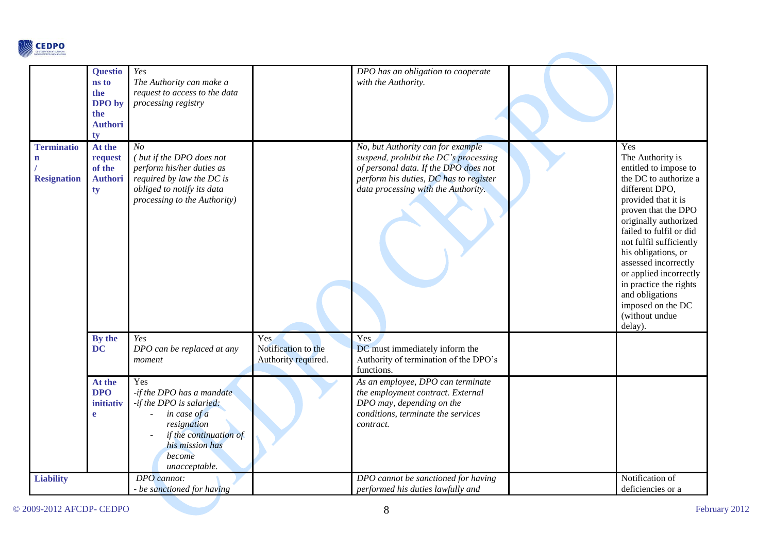

|                                                         | <b>Questio</b><br>ns to<br>the<br>DPO by<br>the<br><b>Authori</b><br>ty | Yes<br>The Authority can make a<br>request to access to the data<br>processing registry                                                                             |                                                   | DPO has an obligation to cooperate<br>with the Authority.                                                                                                                                            |                                                                                                                                                                                                                                                                                                                                                                                                  |
|---------------------------------------------------------|-------------------------------------------------------------------------|---------------------------------------------------------------------------------------------------------------------------------------------------------------------|---------------------------------------------------|------------------------------------------------------------------------------------------------------------------------------------------------------------------------------------------------------|--------------------------------------------------------------------------------------------------------------------------------------------------------------------------------------------------------------------------------------------------------------------------------------------------------------------------------------------------------------------------------------------------|
| <b>Terminatio</b><br>$\mathbf{n}$<br><b>Resignation</b> | At the<br>request<br>of the<br><b>Authori</b><br>ty                     | N <sub>O</sub><br>(but if the DPO does not<br>perform his/her duties as<br>required by law the DC is<br>obliged to notify its data<br>processing to the Authority)  |                                                   | No, but Authority can for example<br>suspend, prohibit the DC's processing<br>of personal data. If the DPO does not<br>perform his duties, DC has to register<br>data processing with the Authority. | Yes<br>The Authority is<br>entitled to impose to<br>the DC to authorize a<br>different DPO,<br>provided that it is<br>proven that the DPO<br>originally authorized<br>failed to fulfil or did<br>not fulfil sufficiently<br>his obligations, or<br>assessed incorrectly<br>or applied incorrectly<br>in practice the rights<br>and obligations<br>imposed on the DC<br>(without undue<br>delay). |
|                                                         | By the<br><b>DC</b>                                                     | Yes<br>DPO can be replaced at any<br>moment                                                                                                                         | Yes<br>Notification to the<br>Authority required. | Yes<br>DC must immediately inform the<br>Authority of termination of the DPO's<br>functions.                                                                                                         |                                                                                                                                                                                                                                                                                                                                                                                                  |
|                                                         | At the<br><b>DPO</b><br>initiativ<br>e                                  | Yes<br>-if the DPO has a mandate<br>-if the DPO is salaried:<br>in case of a<br>resignation<br>if the continuation of<br>his mission has<br>become<br>unacceptable. |                                                   | As an employee, DPO can terminate<br>the employment contract. External<br>DPO may, depending on the<br>conditions, terminate the services<br>contract.                                               |                                                                                                                                                                                                                                                                                                                                                                                                  |
| <b>Liability</b>                                        |                                                                         | DPO cannot:<br>- be sanctioned for having                                                                                                                           |                                                   | DPO cannot be sanctioned for having<br>performed his duties lawfully and                                                                                                                             | Notification of<br>deficiencies or a                                                                                                                                                                                                                                                                                                                                                             |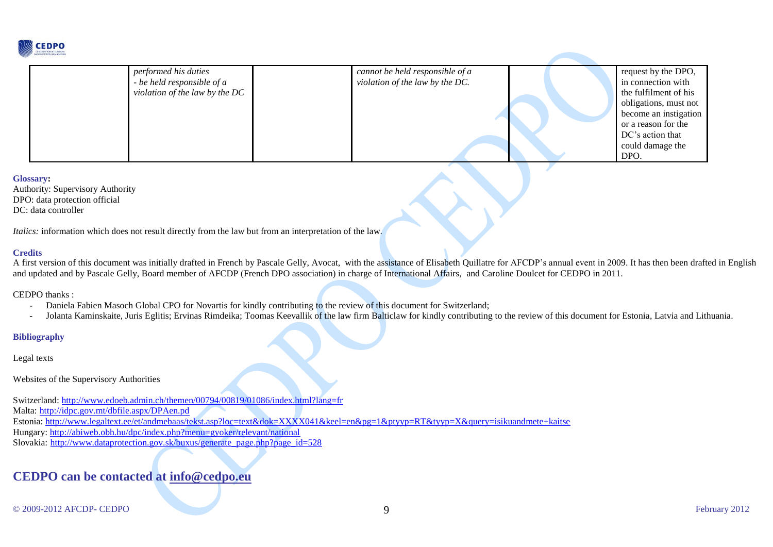

| performed his duties           | cannot be held responsible of a | request by the DPO,   |
|--------------------------------|---------------------------------|-----------------------|
| - be held responsible of a     | violation of the law by the DC. | in connection with    |
| violation of the law by the DC |                                 | the fulfilment of his |
|                                |                                 | obligations, must not |
|                                |                                 | become an instigation |
|                                |                                 | or a reason for the   |
|                                |                                 | DC's action that      |
|                                |                                 | could damage the      |
|                                |                                 | DPO.                  |

#### **Glossary:**

Authority: Supervisory Authority DPO: data protection official DC: data controller

*Italics:* information which does not result directly from the law but from an interpretation of the law.

#### **Credits**

A first version of this document was initially drafted in French by Pascale Gelly, Avocat, with the assistance of Elisabeth Quillatre for AFCDP's annual event in 2009. It has then been drafted in English and updated and by Pascale Gelly, Board member of AFCDP (French DPO association) in charge of International Affairs, and Caroline Doulcet for CEDPO in 2011.

CEDPO thanks :

- Daniela Fabien Masoch Global CPO for Novartis for kindly contributing to the review of this document for Switzerland;
- Jolanta Kaminskaite, Juris Eglitis; Ervinas Rimdeika; Toomas Keevallik of the law firm Balticlaw for kindly contributing to the review of this document for Estonia, Latvia and Lithuania.

### **Bibliography**

Legal texts

Websites of the Supervisory Authorities

Switzerland:<http://www.edoeb.admin.ch/themen/00794/00819/01086/index.html?lang=fr>

Malta: <http://idpc.gov.mt/dbfile.aspx/DPAen.pd>

Estonia:<http://www.legaltext.ee/et/andmebaas/tekst.asp?loc=text&dok=XXXX041&keel=en&pg=1&ptyyp=RT&tyyp=X&query=isikuandmete+kaitse>

Hungary:<http://abiweb.obh.hu/dpc/index.php?menu=gyoker/relevant/national>

Slovakia: [http://www.dataprotection.gov.sk/buxus/generate\\_page.php?page\\_id=528](http://www.dataprotection.gov.sk/buxus/generate_page.php?page_id=528)

## **CEDPO can be contacted at [info@cedpo.eu](mailto:info@cedpo.eu)**

© 2009-2012 AFCDP- CEDPO 9 February 2012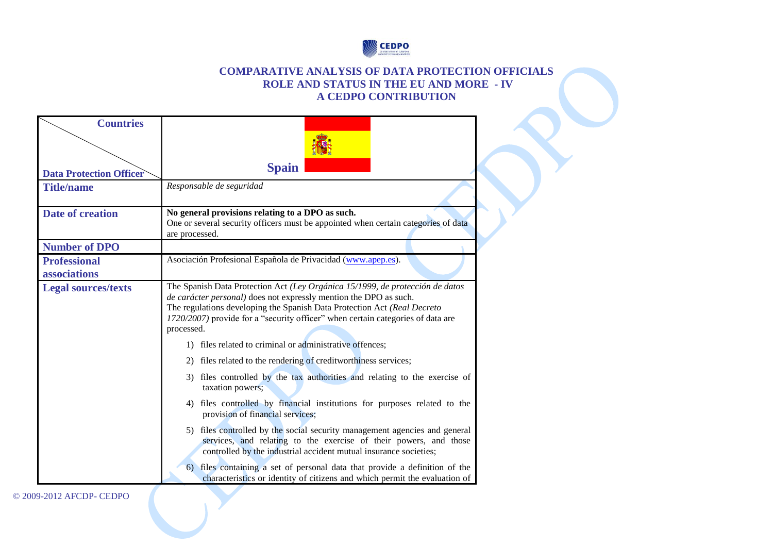

### **COMPARATIVE ANALYSIS OF DATA PROTECTION OFFICIALS ROLE AND STATUS IN THE EU AND MORE - IV A CEDPO CONTRIBUTION**

| <b>Countries</b>                    |                                                                                                                                                                                                                                                                                                                                                                                             |
|-------------------------------------|---------------------------------------------------------------------------------------------------------------------------------------------------------------------------------------------------------------------------------------------------------------------------------------------------------------------------------------------------------------------------------------------|
|                                     |                                                                                                                                                                                                                                                                                                                                                                                             |
| <b>Data Protection Officer</b>      | <b>Spain</b>                                                                                                                                                                                                                                                                                                                                                                                |
| <b>Title/name</b>                   | Responsable de seguridad                                                                                                                                                                                                                                                                                                                                                                    |
| <b>Date of creation</b>             | No general provisions relating to a DPO as such.<br>One or several security officers must be appointed when certain categories of data<br>are processed.                                                                                                                                                                                                                                    |
| <b>Number of DPO</b>                |                                                                                                                                                                                                                                                                                                                                                                                             |
| <b>Professional</b><br>associations | Asociación Profesional Española de Privacidad (www.apep.es).                                                                                                                                                                                                                                                                                                                                |
| <b>Legal sources/texts</b>          | The Spanish Data Protection Act (Ley Orgánica 15/1999, de protección de datos<br>de carácter personal) does not expressly mention the DPO as such.<br>The regulations developing the Spanish Data Protection Act (Real Decreto<br>1720/2007) provide for a "security officer" when certain categories of data are<br>processed.<br>1) files related to criminal or administrative offences; |
|                                     | 2) files related to the rendering of creditworthiness services;                                                                                                                                                                                                                                                                                                                             |
|                                     | 3) files controlled by the tax authorities and relating to the exercise of<br>taxation powers;                                                                                                                                                                                                                                                                                              |
|                                     | 4) files controlled by financial institutions for purposes related to the<br>provision of financial services;                                                                                                                                                                                                                                                                               |
|                                     | 5) files controlled by the social security management agencies and general<br>services, and relating to the exercise of their powers, and those<br>controlled by the industrial accident mutual insurance societies;                                                                                                                                                                        |
|                                     | files containing a set of personal data that provide a definition of the<br>6)<br>characteristics or identity of citizens and which permit the evaluation of                                                                                                                                                                                                                                |

© 2009-2012 AFCDP- CEDPO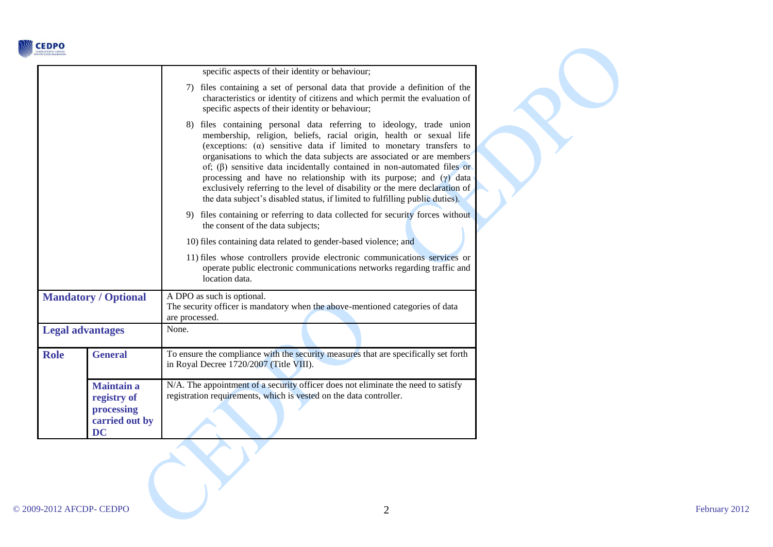

|                             |                                                                               | specific aspects of their identity or behaviour;                                                                                                                                                                                                                                                                                                                                                                                                                                                                                                                                                                            |  |  |
|-----------------------------|-------------------------------------------------------------------------------|-----------------------------------------------------------------------------------------------------------------------------------------------------------------------------------------------------------------------------------------------------------------------------------------------------------------------------------------------------------------------------------------------------------------------------------------------------------------------------------------------------------------------------------------------------------------------------------------------------------------------------|--|--|
|                             |                                                                               | 7) files containing a set of personal data that provide a definition of the<br>characteristics or identity of citizens and which permit the evaluation of<br>specific aspects of their identity or behaviour;                                                                                                                                                                                                                                                                                                                                                                                                               |  |  |
|                             |                                                                               | 8) files containing personal data referring to ideology, trade union<br>membership, religion, beliefs, racial origin, health or sexual life<br>(exceptions: $(\alpha)$ sensitive data if limited to monetary transfers to<br>organisations to which the data subjects are associated or are members<br>of; $(\beta)$ sensitive data incidentally contained in non-automated files or<br>processing and have no relationship with its purpose; and $(y)$ data<br>exclusively referring to the level of disability or the mere declaration of<br>the data subject's disabled status, if limited to fulfilling public duties). |  |  |
|                             |                                                                               | 9) files containing or referring to data collected for security forces without<br>the consent of the data subjects;                                                                                                                                                                                                                                                                                                                                                                                                                                                                                                         |  |  |
|                             |                                                                               | 10) files containing data related to gender-based violence; and                                                                                                                                                                                                                                                                                                                                                                                                                                                                                                                                                             |  |  |
|                             |                                                                               | 11) files whose controllers provide electronic communications services or<br>operate public electronic communications networks regarding traffic and<br>location data.                                                                                                                                                                                                                                                                                                                                                                                                                                                      |  |  |
| <b>Mandatory / Optional</b> |                                                                               | A DPO as such is optional.<br>The security officer is mandatory when the above-mentioned categories of data<br>are processed.                                                                                                                                                                                                                                                                                                                                                                                                                                                                                               |  |  |
| <b>Legal advantages</b>     |                                                                               | None.                                                                                                                                                                                                                                                                                                                                                                                                                                                                                                                                                                                                                       |  |  |
| <b>Role</b>                 | <b>General</b>                                                                | To ensure the compliance with the security measures that are specifically set forth<br>in Royal Decree 1720/2007 (Title VIII).                                                                                                                                                                                                                                                                                                                                                                                                                                                                                              |  |  |
|                             | <b>Maintain a</b><br>registry of<br>processing<br>carried out by<br><b>DC</b> | N/A. The appointment of a security officer does not eliminate the need to satisfy<br>registration requirements, which is vested on the data controller.                                                                                                                                                                                                                                                                                                                                                                                                                                                                     |  |  |

Y

 $\sum_{i=1}^{n}$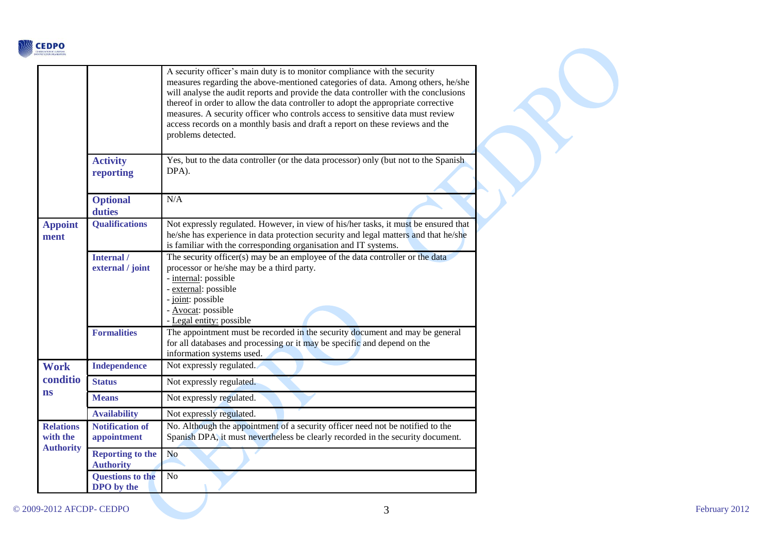

|                                                                           |                                             | A security officer's main duty is to monitor compliance with the security<br>measures regarding the above-mentioned categories of data. Among others, he/she<br>will analyse the audit reports and provide the data controller with the conclusions<br>thereof in order to allow the data controller to adopt the appropriate corrective<br>measures. A security officer who controls access to sensitive data must review<br>access records on a monthly basis and draft a report on these reviews and the<br>problems detected. |
|---------------------------------------------------------------------------|---------------------------------------------|-----------------------------------------------------------------------------------------------------------------------------------------------------------------------------------------------------------------------------------------------------------------------------------------------------------------------------------------------------------------------------------------------------------------------------------------------------------------------------------------------------------------------------------|
|                                                                           | <b>Activity</b><br>reporting                | Yes, but to the data controller (or the data processor) only (but not to the Spanish<br>DPA).                                                                                                                                                                                                                                                                                                                                                                                                                                     |
|                                                                           | <b>Optional</b><br>duties                   | N/A                                                                                                                                                                                                                                                                                                                                                                                                                                                                                                                               |
| <b>Appoint</b><br>ment                                                    | <b>Qualifications</b>                       | Not expressly regulated. However, in view of his/her tasks, it must be ensured that<br>he/she has experience in data protection security and legal matters and that he/she<br>is familiar with the corresponding organisation and IT systems.                                                                                                                                                                                                                                                                                     |
|                                                                           | Internal /<br>external / joint              | The security officer(s) may be an employee of the data controller or the data<br>processor or he/she may be a third party.<br>- internal: possible<br>- external: possible<br>- joint: possible<br>- Avocat: possible<br>- Legal entity: possible                                                                                                                                                                                                                                                                                 |
|                                                                           | <b>Formalities</b>                          | The appointment must be recorded in the security document and may be general<br>for all databases and processing or it may be specific and depend on the<br>information systems used.                                                                                                                                                                                                                                                                                                                                             |
| <b>Work</b>                                                               | <b>Independence</b>                         | Not expressly regulated.                                                                                                                                                                                                                                                                                                                                                                                                                                                                                                          |
| conditio<br><b>ns</b><br><b>Relations</b><br>with the<br><b>Authority</b> | <b>Status</b>                               | Not expressly regulated.                                                                                                                                                                                                                                                                                                                                                                                                                                                                                                          |
|                                                                           | <b>Means</b>                                | Not expressly regulated.                                                                                                                                                                                                                                                                                                                                                                                                                                                                                                          |
|                                                                           | <b>Availability</b>                         | Not expressly regulated.                                                                                                                                                                                                                                                                                                                                                                                                                                                                                                          |
|                                                                           | <b>Notification of</b><br>appointment       | No. Although the appointment of a security officer need not be notified to the<br>Spanish DPA, it must nevertheless be clearly recorded in the security document.                                                                                                                                                                                                                                                                                                                                                                 |
|                                                                           | <b>Reporting to the</b><br><b>Authority</b> | N <sub>o</sub>                                                                                                                                                                                                                                                                                                                                                                                                                                                                                                                    |
|                                                                           | <b>Questions to the</b><br>DPO by the       | No                                                                                                                                                                                                                                                                                                                                                                                                                                                                                                                                |